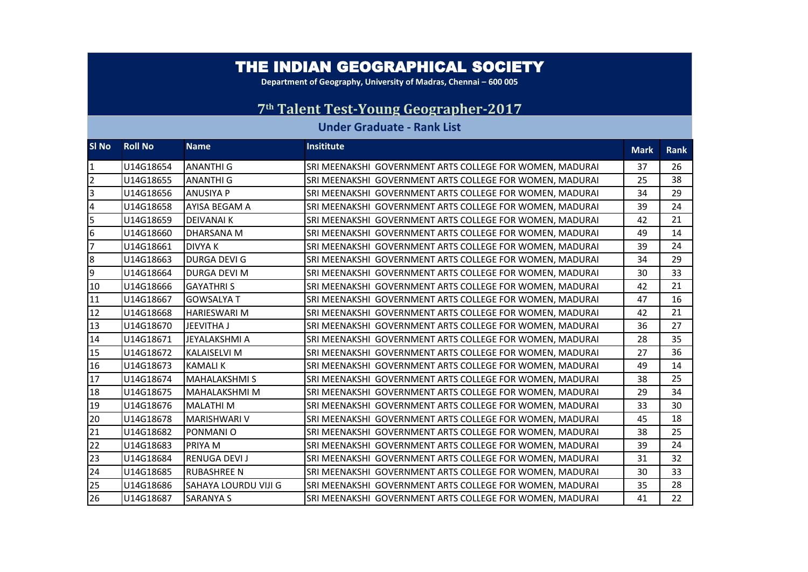## THE INDIAN GEOGRAPHICAL SOCIETY

**Department of Geography, University of Madras, Chennai - 600 005** 

## **th Talent Test-Young Geographer-2017**

## **Under Graduate - Rank List**

| SI No          | <b>Roll No</b> | <b>Name</b>                 | <b>Insititute</b>                                        | <b>Mark</b> | <b>Rank</b> |
|----------------|----------------|-----------------------------|----------------------------------------------------------|-------------|-------------|
| 11             | U14G18654      | <b>ANANTHI G</b>            | SRI MEENAKSHI GOVERNMENT ARTS COLLEGE FOR WOMEN, MADURAI | 37          | 26          |
| 2              | U14G18655      | <b>ANANTHI G</b>            | SRI MEENAKSHI GOVERNMENT ARTS COLLEGE FOR WOMEN, MADURAI | 25          | 38          |
| 3              | U14G18656      | <b>ANUSIYA P</b>            | SRI MEENAKSHI GOVERNMENT ARTS COLLEGE FOR WOMEN, MADURAI | 34          | 29          |
| $\overline{4}$ | U14G18658      | AYISA BEGAM A               | SRI MEENAKSHI GOVERNMENT ARTS COLLEGE FOR WOMEN, MADURAI | 39          | 24          |
| 5              | U14G18659      | <b>DEIVANAI K</b>           | SRI MEENAKSHI GOVERNMENT ARTS COLLEGE FOR WOMEN, MADURAI | 42          | 21          |
| 6              | U14G18660      | <b>DHARSANA M</b>           | SRI MEENAKSHI GOVERNMENT ARTS COLLEGE FOR WOMEN, MADURAI | 49          | 14          |
| 17             | U14G18661      | <b>DIVYAK</b>               | SRI MEENAKSHI GOVERNMENT ARTS COLLEGE FOR WOMEN, MADURAI | 39          | 24          |
| 8              | U14G18663      | <b>DURGA DEVI G</b>         | SRI MEENAKSHI GOVERNMENT ARTS COLLEGE FOR WOMEN, MADURAI | 34          | 29          |
| 9              | U14G18664      | <b>IDURGA DEVI M</b>        | SRI MEENAKSHI GOVERNMENT ARTS COLLEGE FOR WOMEN, MADURAI | 30          | 33          |
| 10             | U14G18666      | <b>GAYATHRIS</b>            | SRI MEENAKSHI GOVERNMENT ARTS COLLEGE FOR WOMEN, MADURAI | 42          | 21          |
| 11             | U14G18667      | <b>GOWSALYA T</b>           | SRI MEENAKSHI GOVERNMENT ARTS COLLEGE FOR WOMEN, MADURAI | 47          | 16          |
| 12             | U14G18668      | <b>HARIESWARI M</b>         | SRI MEENAKSHI GOVERNMENT ARTS COLLEGE FOR WOMEN, MADURAI | 42          | 21          |
| 13             | U14G18670      | <b>JEEVITHA J</b>           | SRI MEENAKSHI GOVERNMENT ARTS COLLEGE FOR WOMEN, MADURAI | 36          | 27          |
| 14             | U14G18671      | <b>JEYALAKSHMI A</b>        | SRI MEENAKSHI GOVERNMENT ARTS COLLEGE FOR WOMEN, MADURAI | 28          | 35          |
| 15             | U14G18672      | <b>KALAISELVI M</b>         | SRI MEENAKSHI GOVERNMENT ARTS COLLEGE FOR WOMEN, MADURAI | 27          | 36          |
| 16             | U14G18673      | <b>KAMALIK</b>              | SRI MEENAKSHI GOVERNMENT ARTS COLLEGE FOR WOMEN, MADURAI | 49          | 14          |
| 17             | U14G18674      | <b>MAHALAKSHMIS</b>         | SRI MEENAKSHI GOVERNMENT ARTS COLLEGE FOR WOMEN, MADURAI | 38          | 25          |
| 18             | U14G18675      | MAHALAKSHMI M               | SRI MEENAKSHI GOVERNMENT ARTS COLLEGE FOR WOMEN, MADURAI | 29          | 34          |
| 19             | U14G18676      | <b>MALATHIM</b>             | SRI MEENAKSHI GOVERNMENT ARTS COLLEGE FOR WOMEN, MADURAI | 33          | 30          |
| 20             | U14G18678      | <b>MARISHWARI V</b>         | SRI MEENAKSHI GOVERNMENT ARTS COLLEGE FOR WOMEN, MADURAI | 45          | 18          |
| 21             | U14G18682      | PONMANIO                    | SRI MEENAKSHI GOVERNMENT ARTS COLLEGE FOR WOMEN, MADURAI | 38          | 25          |
| 22             | U14G18683      | <b>PRIYAM</b>               | SRI MEENAKSHI GOVERNMENT ARTS COLLEGE FOR WOMEN, MADURAI | 39          | 24          |
| 23             | U14G18684      | <b>RENUGA DEVI J</b>        | SRI MEENAKSHI GOVERNMENT ARTS COLLEGE FOR WOMEN, MADURAI | 31          | 32          |
| 24             | U14G18685      | <b>RUBASHREE N</b>          | SRI MEENAKSHI GOVERNMENT ARTS COLLEGE FOR WOMEN, MADURAI | 30          | 33          |
| 25             | U14G18686      | <b>SAHAYA LOURDU VIJI G</b> | SRI MEENAKSHI GOVERNMENT ARTS COLLEGE FOR WOMEN, MADURAI | 35          | 28          |
| 26             | U14G18687      | <b>SARANYA S</b>            | SRI MEENAKSHI GOVERNMENT ARTS COLLEGE FOR WOMEN, MADURAI | 41          | 22          |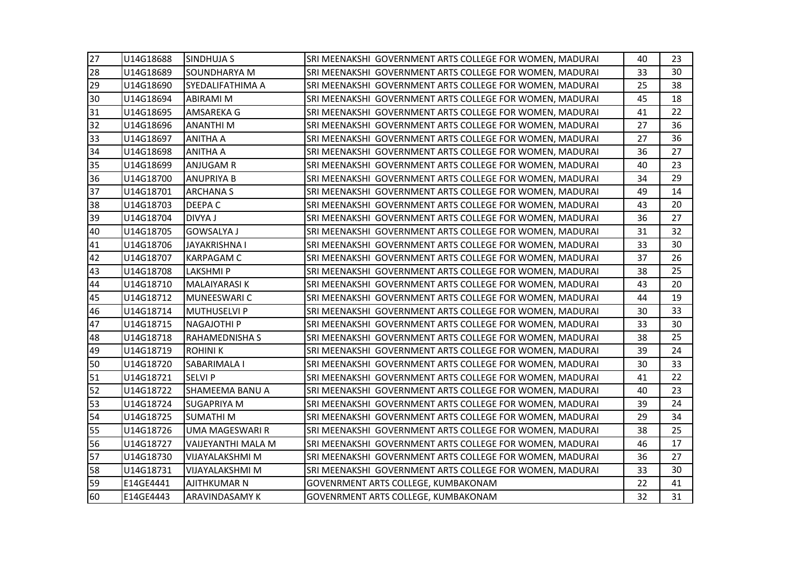| 27 | U14G18688 | <b>SINDHUJA S</b>         | SRI MEENAKSHI GOVERNMENT ARTS COLLEGE FOR WOMEN, MADURAI | 40 | 23 |
|----|-----------|---------------------------|----------------------------------------------------------|----|----|
| 28 | U14G18689 | <b>SOUNDHARYA M</b>       | SRI MEENAKSHI GOVERNMENT ARTS COLLEGE FOR WOMEN, MADURAI | 33 | 30 |
| 29 | U14G18690 | <b>SYEDALIFATHIMA A</b>   | SRI MEENAKSHI GOVERNMENT ARTS COLLEGE FOR WOMEN, MADURAI | 25 | 38 |
| 30 | U14G18694 | ABIRAMI M                 | SRI MEENAKSHI GOVERNMENT ARTS COLLEGE FOR WOMEN, MADURAI | 45 | 18 |
| 31 | U14G18695 | AMSAREKA G                | SRI MEENAKSHI GOVERNMENT ARTS COLLEGE FOR WOMEN, MADURAI | 41 | 22 |
| 32 | U14G18696 | <b>ANANTHIM</b>           | SRI MEENAKSHI GOVERNMENT ARTS COLLEGE FOR WOMEN, MADURAI | 27 | 36 |
| 33 | U14G18697 | <b>ANITHA A</b>           | SRI MEENAKSHI GOVERNMENT ARTS COLLEGE FOR WOMEN, MADURAI | 27 | 36 |
| 34 | U14G18698 | <b>ANITHA A</b>           | SRI MEENAKSHI GOVERNMENT ARTS COLLEGE FOR WOMEN, MADURAI | 36 | 27 |
| 35 | U14G18699 | <b>ANJUGAM R</b>          | SRI MEENAKSHI GOVERNMENT ARTS COLLEGE FOR WOMEN, MADURAI | 40 | 23 |
| 36 | U14G18700 | <b>ANUPRIYA B</b>         | SRI MEENAKSHI GOVERNMENT ARTS COLLEGE FOR WOMEN, MADURAI | 34 | 29 |
| 37 | U14G18701 | <b>ARCHANA S</b>          | SRI MEENAKSHI GOVERNMENT ARTS COLLEGE FOR WOMEN, MADURAI | 49 | 14 |
| 38 | U14G18703 | <b>DEEPAC</b>             | SRI MEENAKSHI GOVERNMENT ARTS COLLEGE FOR WOMEN, MADURAI | 43 | 20 |
| 39 | U14G18704 | <b>DIVYA J</b>            | SRI MEENAKSHI GOVERNMENT ARTS COLLEGE FOR WOMEN, MADURAI | 36 | 27 |
| 40 | U14G18705 | <b>GOWSALYA J</b>         | SRI MEENAKSHI GOVERNMENT ARTS COLLEGE FOR WOMEN, MADURAI | 31 | 32 |
| 41 | U14G18706 | <b>JAYAKRISHNA I</b>      | SRI MEENAKSHI GOVERNMENT ARTS COLLEGE FOR WOMEN, MADURAI | 33 | 30 |
| 42 | U14G18707 | <b>KARPAGAM C</b>         | SRI MEENAKSHI GOVERNMENT ARTS COLLEGE FOR WOMEN, MADURAI | 37 | 26 |
| 43 | U14G18708 | <b>LAKSHMIP</b>           | SRI MEENAKSHI GOVERNMENT ARTS COLLEGE FOR WOMEN, MADURAI | 38 | 25 |
| 44 | U14G18710 | MALAIYARASI K             | SRI MEENAKSHI GOVERNMENT ARTS COLLEGE FOR WOMEN, MADURAI | 43 | 20 |
| 45 | U14G18712 | MUNEESWARI C              | SRI MEENAKSHI GOVERNMENT ARTS COLLEGE FOR WOMEN, MADURAI | 44 | 19 |
| 46 | U14G18714 | <b>MUTHUSELVI P</b>       | SRI MEENAKSHI GOVERNMENT ARTS COLLEGE FOR WOMEN, MADURAI | 30 | 33 |
| 47 | U14G18715 | <b>NAGAJOTHI P</b>        | SRI MEENAKSHI GOVERNMENT ARTS COLLEGE FOR WOMEN, MADURAI | 33 | 30 |
| 48 | U14G18718 | <b>RAHAMEDNISHA S</b>     | SRI MEENAKSHI GOVERNMENT ARTS COLLEGE FOR WOMEN, MADURAI | 38 | 25 |
| 49 | U14G18719 | <b>ROHINIK</b>            | SRI MEENAKSHI GOVERNMENT ARTS COLLEGE FOR WOMEN, MADURAI | 39 | 24 |
| 50 | U14G18720 | SABARIMALA I              | SRI MEENAKSHI GOVERNMENT ARTS COLLEGE FOR WOMEN, MADURAI | 30 | 33 |
| 51 | U14G18721 | <b>SELVI P</b>            | SRI MEENAKSHI GOVERNMENT ARTS COLLEGE FOR WOMEN, MADURAI | 41 | 22 |
| 52 | U14G18722 | SHAMEEMA BANU A           | SRI MEENAKSHI GOVERNMENT ARTS COLLEGE FOR WOMEN, MADURAI | 40 | 23 |
| 53 | U14G18724 | <b>SUGAPRIYA M</b>        | SRI MEENAKSHI GOVERNMENT ARTS COLLEGE FOR WOMEN, MADURAI | 39 | 24 |
| 54 | U14G18725 | <b>SUMATHIM</b>           | SRI MEENAKSHI GOVERNMENT ARTS COLLEGE FOR WOMEN, MADURAI | 29 | 34 |
| 55 | U14G18726 | <b>UMA MAGESWARI R</b>    | SRI MEENAKSHI GOVERNMENT ARTS COLLEGE FOR WOMEN, MADURAI | 38 | 25 |
| 56 | U14G18727 | <b>VAIJEYANTHI MALA M</b> | SRI MEENAKSHI GOVERNMENT ARTS COLLEGE FOR WOMEN, MADURAI | 46 | 17 |
| 57 | U14G18730 | <b>VIJAYALAKSHMI M</b>    | SRI MEENAKSHI GOVERNMENT ARTS COLLEGE FOR WOMEN, MADURAI | 36 | 27 |
| 58 | U14G18731 | <b>VIJAYALAKSHMI M</b>    | SRI MEENAKSHI GOVERNMENT ARTS COLLEGE FOR WOMEN, MADURAI | 33 | 30 |
| 59 | E14GE4441 | <b>AJITHKUMAR N</b>       | GOVENRMENT ARTS COLLEGE, KUMBAKONAM                      | 22 | 41 |
| 60 | E14GE4443 | <b>ARAVINDASAMY K</b>     | GOVENRMENT ARTS COLLEGE, KUMBAKONAM                      | 32 | 31 |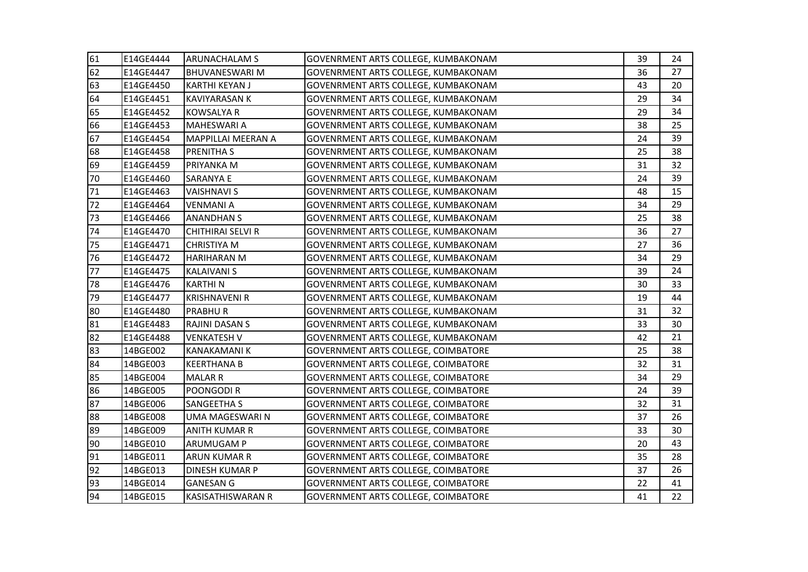| 61 | E14GE4444 | <b>ARUNACHALAM S</b>      | GOVENRMENT ARTS COLLEGE, KUMBAKONAM        | 39 | 24 |
|----|-----------|---------------------------|--------------------------------------------|----|----|
| 62 | E14GE4447 | <b>BHUVANESWARI M</b>     | <b>GOVENRMENT ARTS COLLEGE, KUMBAKONAM</b> | 36 | 27 |
| 63 | E14GE4450 | <b>KARTHI KEYAN J</b>     | <b>GOVENRMENT ARTS COLLEGE, KUMBAKONAM</b> | 43 | 20 |
| 64 | E14GE4451 | <b>KAVIYARASAN K</b>      | GOVENRMENT ARTS COLLEGE, KUMBAKONAM        | 29 | 34 |
| 65 | E14GE4452 | <b>KOWSALYA R</b>         | GOVENRMENT ARTS COLLEGE, KUMBAKONAM        | 29 | 34 |
| 66 | E14GE4453 | <b>MAHESWARI A</b>        | GOVENRMENT ARTS COLLEGE, KUMBAKONAM        | 38 | 25 |
| 67 | E14GE4454 | <b>MAPPILLAI MEERAN A</b> | GOVENRMENT ARTS COLLEGE, KUMBAKONAM        | 24 | 39 |
| 68 | E14GE4458 | <b>PRENITHA S</b>         | GOVENRMENT ARTS COLLEGE, KUMBAKONAM        | 25 | 38 |
| 69 | E14GE4459 | <b>PRIYANKA M</b>         | <b>GOVENRMENT ARTS COLLEGE, KUMBAKONAM</b> | 31 | 32 |
| 70 | E14GE4460 | <b>SARANYA E</b>          | GOVENRMENT ARTS COLLEGE, KUMBAKONAM        | 24 | 39 |
| 71 | E14GE4463 | <b>VAISHNAVI S</b>        | GOVENRMENT ARTS COLLEGE, KUMBAKONAM        | 48 | 15 |
| 72 | E14GE4464 | <b>VENMANIA</b>           | GOVENRMENT ARTS COLLEGE, KUMBAKONAM        | 34 | 29 |
| 73 | E14GE4466 | <b>ANANDHAN S</b>         | GOVENRMENT ARTS COLLEGE, KUMBAKONAM        | 25 | 38 |
| 74 | E14GE4470 | <b>CHITHIRAI SELVI R</b>  | GOVENRMENT ARTS COLLEGE, KUMBAKONAM        | 36 | 27 |
| 75 | E14GE4471 | <b>CHRISTIYA M</b>        | GOVENRMENT ARTS COLLEGE, KUMBAKONAM        | 27 | 36 |
| 76 | E14GE4472 | <b>HARIHARAN M</b>        | GOVENRMENT ARTS COLLEGE, KUMBAKONAM        | 34 | 29 |
| 77 | E14GE4475 | <b>KALAIVANI S</b>        | GOVENRMENT ARTS COLLEGE, KUMBAKONAM        | 39 | 24 |
| 78 | E14GE4476 | <b>KARTHIN</b>            | GOVENRMENT ARTS COLLEGE, KUMBAKONAM        | 30 | 33 |
| 79 | E14GE4477 | <b>KRISHNAVENI R</b>      | GOVENRMENT ARTS COLLEGE, KUMBAKONAM        | 19 | 44 |
| 80 | E14GE4480 | <b>PRABHUR</b>            | GOVENRMENT ARTS COLLEGE, KUMBAKONAM        | 31 | 32 |
| 81 | E14GE4483 | RAJINI DASAN S            | GOVENRMENT ARTS COLLEGE, KUMBAKONAM        | 33 | 30 |
| 82 | E14GE4488 | <b>VENKATESH V</b>        | GOVENRMENT ARTS COLLEGE, KUMBAKONAM        | 42 | 21 |
| 83 | 14BGE002  | <b>KANAKAMANI K</b>       | GOVERNMENT ARTS COLLEGE, COIMBATORE        | 25 | 38 |
| 84 | 14BGE003  | <b>KEERTHANA B</b>        | GOVERNMENT ARTS COLLEGE, COIMBATORE        | 32 | 31 |
| 85 | 14BGE004  | <b>MALAR R</b>            | GOVERNMENT ARTS COLLEGE, COIMBATORE        | 34 | 29 |
| 86 | 14BGE005  | POONGODI R                | GOVERNMENT ARTS COLLEGE, COIMBATORE        | 24 | 39 |
| 87 | 14BGE006  | <b>SANGEETHA S</b>        | <b>GOVERNMENT ARTS COLLEGE, COIMBATORE</b> | 32 | 31 |
| 88 | 14BGE008  | <b>UMA MAGESWARI N</b>    | <b>GOVERNMENT ARTS COLLEGE, COIMBATORE</b> | 37 | 26 |
| 89 | 14BGE009  | <b>ANITH KUMAR R</b>      | <b>GOVERNMENT ARTS COLLEGE, COIMBATORE</b> | 33 | 30 |
| 90 | 14BGE010  | <b>ARUMUGAM P</b>         | GOVERNMENT ARTS COLLEGE, COIMBATORE        | 20 | 43 |
| 91 | 14BGE011  | <b>ARUN KUMAR R</b>       | GOVERNMENT ARTS COLLEGE, COIMBATORE        | 35 | 28 |
| 92 | 14BGE013  | <b>DINESH KUMAR P</b>     | <b>GOVERNMENT ARTS COLLEGE, COIMBATORE</b> | 37 | 26 |
| 93 | 14BGE014  | <b>GANESAN G</b>          | <b>GOVERNMENT ARTS COLLEGE, COIMBATORE</b> | 22 | 41 |
| 94 | 14BGE015  | <b>KASISATHISWARAN R</b>  | <b>GOVERNMENT ARTS COLLEGE, COIMBATORE</b> | 41 | 22 |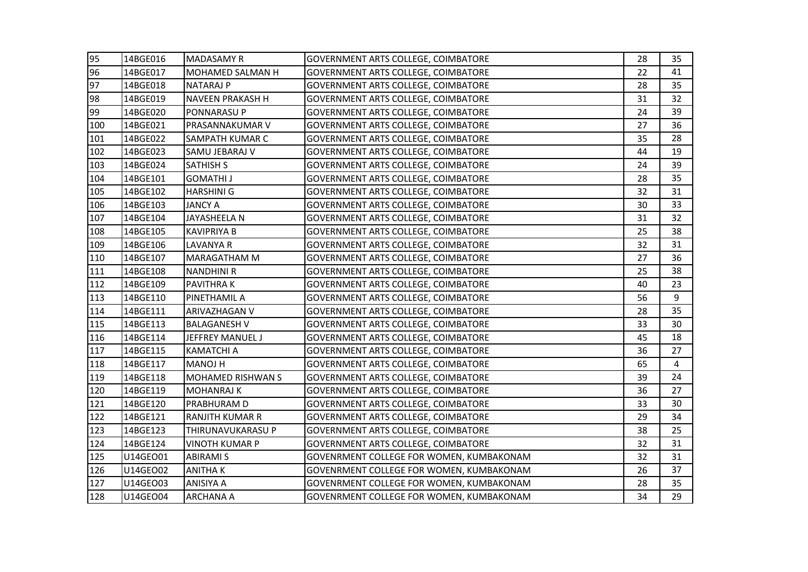| 95  | 14BGE016 | <b>MADASAMY R</b>       | <b>GOVERNMENT ARTS COLLEGE, COIMBATORE</b>      | 28 | 35 |
|-----|----------|-------------------------|-------------------------------------------------|----|----|
| 96  | 14BGE017 | MOHAMED SALMAN H        | <b>GOVERNMENT ARTS COLLEGE, COIMBATORE</b>      | 22 | 41 |
| 97  | 14BGE018 | <b>NATARAJ P</b>        | <b>GOVERNMENT ARTS COLLEGE, COIMBATORE</b>      | 28 | 35 |
| 98  | 14BGE019 | <b>NAVEEN PRAKASH H</b> | <b>GOVERNMENT ARTS COLLEGE, COIMBATORE</b>      | 31 | 32 |
| 99  | 14BGE020 | PONNARASU P             | GOVERNMENT ARTS COLLEGE, COIMBATORE             | 24 | 39 |
| 100 | 14BGE021 | PRASANNAKUMAR V         | GOVERNMENT ARTS COLLEGE, COIMBATORE             | 27 | 36 |
| 101 | 14BGE022 | SAMPATH KUMAR C         | <b>GOVERNMENT ARTS COLLEGE, COIMBATORE</b>      | 35 | 28 |
| 102 | 14BGE023 | SAMU JEBARAJ V          | GOVERNMENT ARTS COLLEGE, COIMBATORE             | 44 | 19 |
| 103 | 14BGE024 | <b>SATHISH S</b>        | <b>GOVERNMENT ARTS COLLEGE, COIMBATORE</b>      | 24 | 39 |
| 104 | 14BGE101 | <b>GOMATHI J</b>        | GOVERNMENT ARTS COLLEGE, COIMBATORE             | 28 | 35 |
| 105 | 14BGE102 | <b>HARSHINI G</b>       | GOVERNMENT ARTS COLLEGE, COIMBATORE             | 32 | 31 |
| 106 | 14BGE103 | <b>JANCY A</b>          | GOVERNMENT ARTS COLLEGE, COIMBATORE             | 30 | 33 |
| 107 | 14BGE104 | JAYASHEELA N            | <b>GOVERNMENT ARTS COLLEGE, COIMBATORE</b>      | 31 | 32 |
| 108 | 14BGE105 | <b>KAVIPRIYA B</b>      | <b>GOVERNMENT ARTS COLLEGE, COIMBATORE</b>      | 25 | 38 |
| 109 | 14BGE106 | <b>LAVANYA R</b>        | GOVERNMENT ARTS COLLEGE, COIMBATORE             | 32 | 31 |
| 110 | 14BGE107 | MARAGATHAM M            | GOVERNMENT ARTS COLLEGE, COIMBATORE             | 27 | 36 |
| 111 | 14BGE108 | <b>NANDHINI R</b>       | GOVERNMENT ARTS COLLEGE, COIMBATORE             | 25 | 38 |
| 112 | 14BGE109 | <b>PAVITHRAK</b>        | GOVERNMENT ARTS COLLEGE, COIMBATORE             | 40 | 23 |
| 113 | 14BGE110 | PINETHAMIL A            | <b>GOVERNMENT ARTS COLLEGE, COIMBATORE</b>      | 56 | 9  |
| 114 | 14BGE111 | ARIVAZHAGAN V           | <b>GOVERNMENT ARTS COLLEGE, COIMBATORE</b>      | 28 | 35 |
| 115 | 14BGE113 | <b>BALAGANESH V</b>     | GOVERNMENT ARTS COLLEGE, COIMBATORE             | 33 | 30 |
| 116 | 14BGE114 | JEFFREY MANUEL J        | <b>GOVERNMENT ARTS COLLEGE, COIMBATORE</b>      | 45 | 18 |
| 117 | 14BGE115 | <b>KAMATCHI A</b>       | GOVERNMENT ARTS COLLEGE, COIMBATORE             | 36 | 27 |
| 118 | 14BGE117 | <b>MANOJ H</b>          | <b>GOVERNMENT ARTS COLLEGE, COIMBATORE</b>      | 65 | 4  |
| 119 | 14BGE118 | MOHAMED RISHWAN S       | GOVERNMENT ARTS COLLEGE, COIMBATORE             | 39 | 24 |
| 120 | 14BGE119 | <b>MOHANRAJ K</b>       | GOVERNMENT ARTS COLLEGE, COIMBATORE             | 36 | 27 |
| 121 | 14BGE120 | PRABHURAM D             | <b>GOVERNMENT ARTS COLLEGE, COIMBATORE</b>      | 33 | 30 |
| 122 | 14BGE121 | <b>RANJITH KUMAR R</b>  | <b>GOVERNMENT ARTS COLLEGE, COIMBATORE</b>      | 29 | 34 |
| 123 | 14BGE123 | THIRUNAVUKARASU P       | <b>GOVERNMENT ARTS COLLEGE, COIMBATORE</b>      | 38 | 25 |
| 124 | 14BGE124 | <b>VINOTH KUMAR P</b>   | GOVERNMENT ARTS COLLEGE, COIMBATORE             | 32 | 31 |
| 125 | U14GEO01 | <b>ABIRAMI S</b>        | GOVENRMENT COLLEGE FOR WOMEN, KUMBAKONAM        | 32 | 31 |
| 126 | U14GEO02 | <b>ANITHAK</b>          | GOVENRMENT COLLEGE FOR WOMEN, KUMBAKONAM        | 26 | 37 |
| 127 | U14GEO03 | <b>ANISIYA A</b>        | GOVENRMENT COLLEGE FOR WOMEN, KUMBAKONAM        | 28 | 35 |
| 128 | U14GEO04 | <b>ARCHANA A</b>        | <b>GOVENRMENT COLLEGE FOR WOMEN, KUMBAKONAM</b> | 34 | 29 |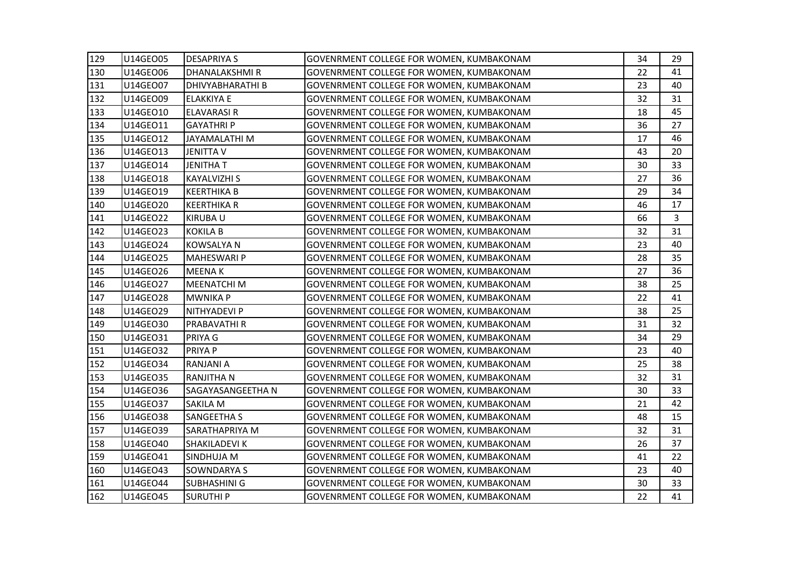| 129 | U14GEO05 | <b>DESAPRIYA S</b>      | <b>GOVENRMENT COLLEGE FOR WOMEN, KUMBAKONAM</b> | 34 | 29             |
|-----|----------|-------------------------|-------------------------------------------------|----|----------------|
| 130 | U14GEO06 | DHANALAKSHMIR           | GOVENRMENT COLLEGE FOR WOMEN, KUMBAKONAM        | 22 | 41             |
| 131 | U14GEO07 | <b>DHIVYABHARATHI B</b> | GOVENRMENT COLLEGE FOR WOMEN, KUMBAKONAM        | 23 | 40             |
| 132 | U14GEO09 | <b>ELAKKIYA E</b>       | GOVENRMENT COLLEGE FOR WOMEN, KUMBAKONAM        | 32 | 31             |
| 133 | U14GEO10 | <b>ELAVARASIR</b>       | <b>GOVENRMENT COLLEGE FOR WOMEN, KUMBAKONAM</b> | 18 | 45             |
| 134 | U14GEO11 | <b>GAYATHRIP</b>        | GOVENRMENT COLLEGE FOR WOMEN, KUMBAKONAM        | 36 | 27             |
| 135 | U14GEO12 | JAYAMALATHI M           | GOVENRMENT COLLEGE FOR WOMEN, KUMBAKONAM        | 17 | 46             |
| 136 | U14GEO13 | <b>JENITTA V</b>        | GOVENRMENT COLLEGE FOR WOMEN, KUMBAKONAM        | 43 | 20             |
| 137 | U14GEO14 | <b>JENITHAT</b>         | GOVENRMENT COLLEGE FOR WOMEN, KUMBAKONAM        | 30 | 33             |
| 138 | U14GEO18 | <b>KAYALVIZHI S</b>     | <b>GOVENRMENT COLLEGE FOR WOMEN, KUMBAKONAM</b> | 27 | 36             |
| 139 | U14GEO19 | <b>KEERTHIKA B</b>      | GOVENRMENT COLLEGE FOR WOMEN, KUMBAKONAM        | 29 | 34             |
| 140 | U14GEO20 | <b>KEERTHIKA R</b>      | GOVENRMENT COLLEGE FOR WOMEN, KUMBAKONAM        | 46 | 17             |
| 141 | U14GEO22 | <b>KIRUBAU</b>          | GOVENRMENT COLLEGE FOR WOMEN, KUMBAKONAM        | 66 | $\overline{3}$ |
| 142 | U14GEO23 | <b>KOKILA B</b>         | GOVENRMENT COLLEGE FOR WOMEN, KUMBAKONAM        | 32 | 31             |
| 143 | U14GEO24 | <b>KOWSALYA N</b>       | GOVENRMENT COLLEGE FOR WOMEN, KUMBAKONAM        | 23 | 40             |
| 144 | U14GEO25 | <b>MAHESWARI P</b>      | GOVENRMENT COLLEGE FOR WOMEN, KUMBAKONAM        | 28 | 35             |
| 145 | U14GEO26 | <b>MEENAK</b>           | GOVENRMENT COLLEGE FOR WOMEN, KUMBAKONAM        | 27 | 36             |
| 146 | U14GEO27 | <b>MEENATCHI M</b>      | GOVENRMENT COLLEGE FOR WOMEN, KUMBAKONAM        | 38 | 25             |
| 147 | U14GEO28 | <b>MWNIKA P</b>         | <b>GOVENRMENT COLLEGE FOR WOMEN, KUMBAKONAM</b> | 22 | 41             |
| 148 | U14GEO29 | NITHYADEVI P            | GOVENRMENT COLLEGE FOR WOMEN, KUMBAKONAM        | 38 | 25             |
| 149 | U14GEO30 | <b>PRABAVATHI R</b>     | GOVENRMENT COLLEGE FOR WOMEN, KUMBAKONAM        | 31 | 32             |
| 150 | U14GEO31 | PRIYA G                 | GOVENRMENT COLLEGE FOR WOMEN, KUMBAKONAM        | 34 | 29             |
| 151 | U14GE032 | PRIYA P                 | GOVENRMENT COLLEGE FOR WOMEN, KUMBAKONAM        | 23 | 40             |
| 152 | U14GEO34 | <b>RANJANI A</b>        | GOVENRMENT COLLEGE FOR WOMEN, KUMBAKONAM        | 25 | 38             |
| 153 | U14GE035 | <b>RANJITHA N</b>       | GOVENRMENT COLLEGE FOR WOMEN, KUMBAKONAM        | 32 | 31             |
| 154 | U14GEO36 | SAGAYASANGEETHA N       | GOVENRMENT COLLEGE FOR WOMEN, KUMBAKONAM        | 30 | 33             |
| 155 | U14GE037 | <b>SAKILA M</b>         | GOVENRMENT COLLEGE FOR WOMEN, KUMBAKONAM        | 21 | 42             |
| 156 | U14GE038 | <b>SANGEETHA S</b>      | GOVENRMENT COLLEGE FOR WOMEN, KUMBAKONAM        | 48 | 15             |
| 157 | U14GEO39 | <b>SARATHAPRIYA M</b>   | GOVENRMENT COLLEGE FOR WOMEN, KUMBAKONAM        | 32 | 31             |
| 158 | U14GEO40 | <b>SHAKILADEVI K</b>    | GOVENRMENT COLLEGE FOR WOMEN, KUMBAKONAM        | 26 | 37             |
| 159 | U14GEO41 | SINDHUJA M              | GOVENRMENT COLLEGE FOR WOMEN, KUMBAKONAM        | 41 | 22             |
| 160 | U14GEO43 | <b>SOWNDARYA S</b>      | GOVENRMENT COLLEGE FOR WOMEN, KUMBAKONAM        | 23 | 40             |
| 161 | U14GEO44 | <b>SUBHASHINI G</b>     | GOVENRMENT COLLEGE FOR WOMEN, KUMBAKONAM        | 30 | 33             |
| 162 | U14GEO45 | <b>SURUTHIP</b>         | <b>GOVENRMENT COLLEGE FOR WOMEN, KUMBAKONAM</b> | 22 | 41             |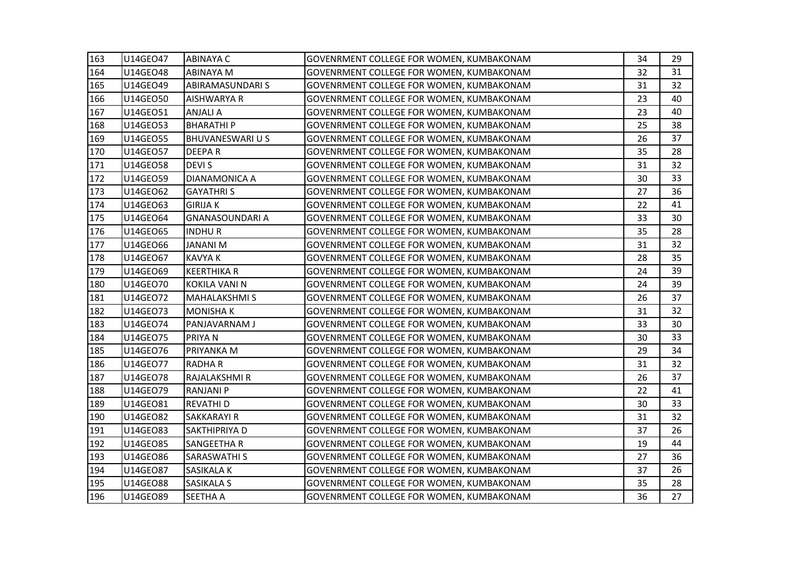| 163 | U14GEO47        | <b>ABINAYA C</b>        | <b>GOVENRMENT COLLEGE FOR WOMEN, KUMBAKONAM</b> | 34 | 29 |
|-----|-----------------|-------------------------|-------------------------------------------------|----|----|
| 164 | U14GEO48        | <b>ABINAYA M</b>        | GOVENRMENT COLLEGE FOR WOMEN, KUMBAKONAM        | 32 | 31 |
| 165 | U14GEO49        | <b>ABIRAMASUNDARI S</b> | GOVENRMENT COLLEGE FOR WOMEN, KUMBAKONAM        | 31 | 32 |
| 166 | U14GEO50        | <b>AISHWARYA R</b>      | GOVENRMENT COLLEGE FOR WOMEN, KUMBAKONAM        | 23 | 40 |
| 167 | U14GE051        | <b>ANJALI A</b>         | GOVENRMENT COLLEGE FOR WOMEN, KUMBAKONAM        | 23 | 40 |
| 168 | U14GEO53        | <b>BHARATHIP</b>        | GOVENRMENT COLLEGE FOR WOMEN, KUMBAKONAM        | 25 | 38 |
| 169 | U14GE055        | BHUVANESWARI U S        | GOVENRMENT COLLEGE FOR WOMEN, KUMBAKONAM        | 26 | 37 |
| 170 | U14GE057        | <b>DEEPAR</b>           | GOVENRMENT COLLEGE FOR WOMEN, KUMBAKONAM        | 35 | 28 |
| 171 | U14GE058        | <b>DEVIS</b>            | GOVENRMENT COLLEGE FOR WOMEN, KUMBAKONAM        | 31 | 32 |
| 172 | U14GEO59        | <b>DIANAMONICA A</b>    | GOVENRMENT COLLEGE FOR WOMEN, KUMBAKONAM        | 30 | 33 |
| 173 | U14GE062        | <b>GAYATHRIS</b>        | GOVENRMENT COLLEGE FOR WOMEN, KUMBAKONAM        | 27 | 36 |
| 174 | U14GEO63        | <b>GIRIJA K</b>         | GOVENRMENT COLLEGE FOR WOMEN, KUMBAKONAM        | 22 | 41 |
| 175 | U14GE064        | <b>GNANASOUNDARI A</b>  | GOVENRMENT COLLEGE FOR WOMEN, KUMBAKONAM        | 33 | 30 |
| 176 | U14GEO65        | <b>INDHUR</b>           | GOVENRMENT COLLEGE FOR WOMEN, KUMBAKONAM        | 35 | 28 |
| 177 | U14GE066        | <b>JANANI M</b>         | GOVENRMENT COLLEGE FOR WOMEN, KUMBAKONAM        | 31 | 32 |
| 178 | U14GE067        | <b>KAVYA K</b>          | GOVENRMENT COLLEGE FOR WOMEN, KUMBAKONAM        | 28 | 35 |
| 179 | U14GEO69        | <b>KEERTHIKA R</b>      | GOVENRMENT COLLEGE FOR WOMEN, KUMBAKONAM        | 24 | 39 |
| 180 | U14GEO70        | KOKILA VANI N           | GOVENRMENT COLLEGE FOR WOMEN, KUMBAKONAM        | 24 | 39 |
| 181 | U14GEO72        | <b>MAHALAKSHMIS</b>     | <b>GOVENRMENT COLLEGE FOR WOMEN, KUMBAKONAM</b> | 26 | 37 |
| 182 | U14GEO73        | <b>MONISHAK</b>         | GOVENRMENT COLLEGE FOR WOMEN, KUMBAKONAM        | 31 | 32 |
| 183 | U14GEO74        | PANJAVARNAM J           | <b>GOVENRMENT COLLEGE FOR WOMEN, KUMBAKONAM</b> | 33 | 30 |
| 184 | U14GE075        | PRIYA N                 | <b>GOVENRMENT COLLEGE FOR WOMEN, KUMBAKONAM</b> | 30 | 33 |
| 185 | U14GEO76        | PRIYANKA M              | GOVENRMENT COLLEGE FOR WOMEN, KUMBAKONAM        | 29 | 34 |
| 186 | U14GEO77        | <b>RADHAR</b>           | <b>GOVENRMENT COLLEGE FOR WOMEN, KUMBAKONAM</b> | 31 | 32 |
| 187 | U14GE078        | RAJALAKSHMI R           | GOVENRMENT COLLEGE FOR WOMEN, KUMBAKONAM        | 26 | 37 |
| 188 | U14GEO79        | <b>RANJANI P</b>        | GOVENRMENT COLLEGE FOR WOMEN, KUMBAKONAM        | 22 | 41 |
| 189 | U14GEO81        | <b>REVATHI D</b>        | GOVENRMENT COLLEGE FOR WOMEN, KUMBAKONAM        | 30 | 33 |
| 190 | U14GEO82        | <b>SAKKARAYI R</b>      | GOVENRMENT COLLEGE FOR WOMEN, KUMBAKONAM        | 31 | 32 |
| 191 | U14GEO83        | <b>SAKTHIPRIYA D</b>    | <b>GOVENRMENT COLLEGE FOR WOMEN, KUMBAKONAM</b> | 37 | 26 |
| 192 | U14GEO85        | <b>SANGEETHA R</b>      | GOVENRMENT COLLEGE FOR WOMEN, KUMBAKONAM        | 19 | 44 |
| 193 | U14GEO86        | <b>SARASWATHI S</b>     | GOVENRMENT COLLEGE FOR WOMEN, KUMBAKONAM        | 27 | 36 |
| 194 | U14GEO87        | <b>SASIKALA K</b>       | GOVENRMENT COLLEGE FOR WOMEN, KUMBAKONAM        | 37 | 26 |
| 195 | <b>U14GEO88</b> | <b>SASIKALA S</b>       | GOVENRMENT COLLEGE FOR WOMEN, KUMBAKONAM        | 35 | 28 |
| 196 | U14GEO89        | <b>SEETHA A</b>         | <b>GOVENRMENT COLLEGE FOR WOMEN, KUMBAKONAM</b> | 36 | 27 |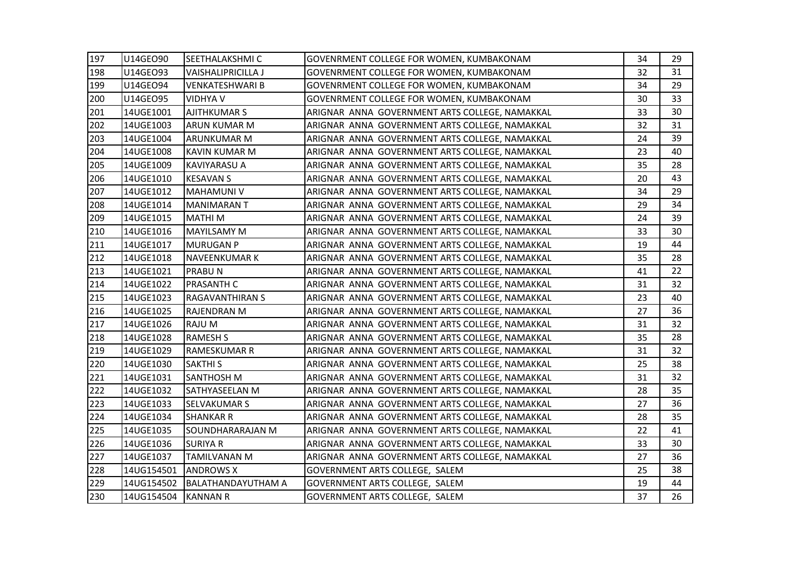| 197 | U14GEO90            | SEETHALAKSHMI C           | GOVENRMENT COLLEGE FOR WOMEN, KUMBAKONAM       | 34 | 29 |
|-----|---------------------|---------------------------|------------------------------------------------|----|----|
| 198 | U14GEO93            | <b>VAISHALIPRICILLA J</b> | GOVENRMENT COLLEGE FOR WOMEN, KUMBAKONAM       | 32 | 31 |
| 199 | U14GEO94            | <b>VENKATESHWARI B</b>    | GOVENRMENT COLLEGE FOR WOMEN, KUMBAKONAM       | 34 | 29 |
| 200 | U14GEO95            | <b>VIDHYA V</b>           | GOVENRMENT COLLEGE FOR WOMEN, KUMBAKONAM       | 30 | 33 |
| 201 | 14UGE1001           | <b>AJITHKUMAR S</b>       | ARIGNAR ANNA GOVERNMENT ARTS COLLEGE, NAMAKKAL | 33 | 30 |
| 202 | 14UGE1003           | <b>ARUN KUMAR M</b>       | ARIGNAR ANNA GOVERNMENT ARTS COLLEGE, NAMAKKAL | 32 | 31 |
| 203 | 14UGE1004           | <b>ARUNKUMAR M</b>        | ARIGNAR ANNA GOVERNMENT ARTS COLLEGE, NAMAKKAL | 24 | 39 |
| 204 | 14UGE1008           | <b>KAVIN KUMAR M</b>      | ARIGNAR ANNA GOVERNMENT ARTS COLLEGE, NAMAKKAL | 23 | 40 |
| 205 | 14UGE1009           | <b>KAVIYARASU A</b>       | ARIGNAR ANNA GOVERNMENT ARTS COLLEGE, NAMAKKAL | 35 | 28 |
| 206 | 14UGE1010           | <b>KESAVAN S</b>          | ARIGNAR ANNA GOVERNMENT ARTS COLLEGE, NAMAKKAL | 20 | 43 |
| 207 | 14UGE1012           | <b>MAHAMUNI V</b>         | ARIGNAR ANNA GOVERNMENT ARTS COLLEGE, NAMAKKAL | 34 | 29 |
| 208 | 14UGE1014           | <b>MANIMARANT</b>         | ARIGNAR ANNA GOVERNMENT ARTS COLLEGE, NAMAKKAL | 29 | 34 |
| 209 | 14UGE1015           | <b>MATHIM</b>             | ARIGNAR ANNA GOVERNMENT ARTS COLLEGE, NAMAKKAL | 24 | 39 |
| 210 | 14UGE1016           | <b>MAYILSAMY M</b>        | ARIGNAR ANNA GOVERNMENT ARTS COLLEGE, NAMAKKAL | 33 | 30 |
| 211 | 14UGE1017           | <b>MURUGAN P</b>          | ARIGNAR ANNA GOVERNMENT ARTS COLLEGE, NAMAKKAL | 19 | 44 |
| 212 | 14UGE1018           | <b>NAVEENKUMAR K</b>      | ARIGNAR ANNA GOVERNMENT ARTS COLLEGE, NAMAKKAL | 35 | 28 |
| 213 | 14UGE1021           | <b>PRABUN</b>             | ARIGNAR ANNA GOVERNMENT ARTS COLLEGE, NAMAKKAL | 41 | 22 |
| 214 | 14UGE1022           | <b>PRASANTH C</b>         | ARIGNAR ANNA GOVERNMENT ARTS COLLEGE, NAMAKKAL | 31 | 32 |
| 215 | 14UGE1023           | <b>RAGAVANTHIRAN S</b>    | ARIGNAR ANNA GOVERNMENT ARTS COLLEGE, NAMAKKAL | 23 | 40 |
| 216 | 14UGE1025           | <b>RAJENDRAN M</b>        | ARIGNAR ANNA GOVERNMENT ARTS COLLEGE, NAMAKKAL | 27 | 36 |
| 217 | 14UGE1026           | RAJU M                    | ARIGNAR ANNA GOVERNMENT ARTS COLLEGE, NAMAKKAL | 31 | 32 |
| 218 | 14UGE1028           | <b>RAMESH S</b>           | ARIGNAR ANNA GOVERNMENT ARTS COLLEGE, NAMAKKAL | 35 | 28 |
| 219 | 14UGE1029           | <b>RAMESKUMAR R</b>       | ARIGNAR ANNA GOVERNMENT ARTS COLLEGE, NAMAKKAL | 31 | 32 |
| 220 | 14UGE1030           | <b>SAKTHI S</b>           | ARIGNAR ANNA GOVERNMENT ARTS COLLEGE, NAMAKKAL | 25 | 38 |
| 221 | 14UGE1031           | <b>SANTHOSH M</b>         | ARIGNAR ANNA GOVERNMENT ARTS COLLEGE, NAMAKKAL | 31 | 32 |
| 222 | 14UGE1032           | SATHYASEELAN M            | ARIGNAR ANNA GOVERNMENT ARTS COLLEGE, NAMAKKAL | 28 | 35 |
| 223 | 14UGE1033           | <b>SELVAKUMAR S</b>       | ARIGNAR ANNA GOVERNMENT ARTS COLLEGE, NAMAKKAL | 27 | 36 |
| 224 | 14UGE1034           | <b>SHANKAR R</b>          | ARIGNAR ANNA GOVERNMENT ARTS COLLEGE, NAMAKKAL | 28 | 35 |
| 225 | 14UGE1035           | SOUNDHARARAJAN M          | ARIGNAR ANNA GOVERNMENT ARTS COLLEGE, NAMAKKAL | 22 | 41 |
| 226 | 14UGE1036           | <b>SURIYA R</b>           | ARIGNAR ANNA GOVERNMENT ARTS COLLEGE, NAMAKKAL | 33 | 30 |
| 227 | 14UGE1037           | <b>TAMILVANAN M</b>       | ARIGNAR ANNA GOVERNMENT ARTS COLLEGE, NAMAKKAL | 27 | 36 |
| 228 | 14UG154501          | <b>ANDROWS X</b>          | GOVERNMENT ARTS COLLEGE, SALEM                 | 25 | 38 |
| 229 | 14UG154502          | <b>BALATHANDAYUTHAM A</b> | GOVERNMENT ARTS COLLEGE, SALEM                 | 19 | 44 |
| 230 | 14UG154504 KANNAN R |                           | GOVERNMENT ARTS COLLEGE, SALEM                 | 37 | 26 |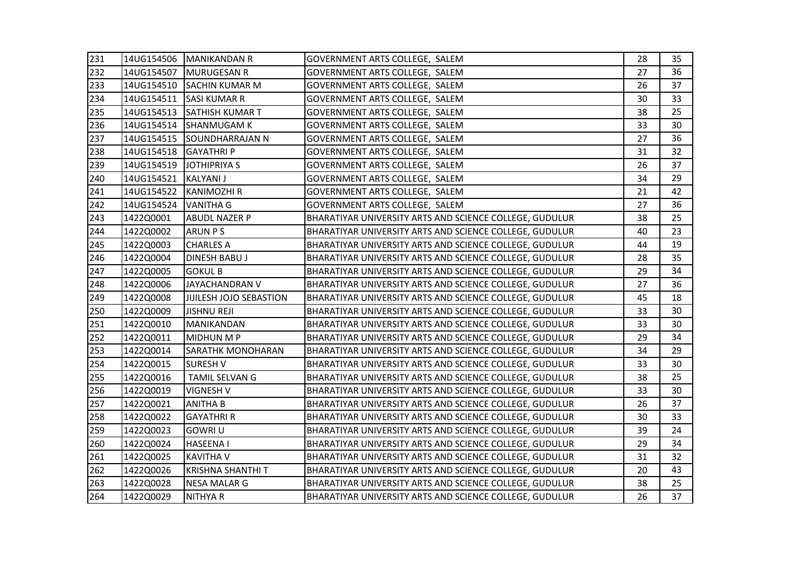| 231 |                         | 14UG154506 MANIKANDAN R    | GOVERNMENT ARTS COLLEGE, SALEM                          | 28 | 35 |
|-----|-------------------------|----------------------------|---------------------------------------------------------|----|----|
| 232 | 14UG154507              | <b>MURUGESAN R</b>         | GOVERNMENT ARTS COLLEGE, SALEM                          | 27 | 36 |
| 233 |                         | 14UG154510 SACHIN KUMAR M  | GOVERNMENT ARTS COLLEGE, SALEM                          | 26 | 37 |
| 234 | 14UG154511              | <b>SASI KUMAR R</b>        | GOVERNMENT ARTS COLLEGE, SALEM                          | 30 | 33 |
| 235 | 14UG154513              | <b>SATHISH KUMAR T</b>     | GOVERNMENT ARTS COLLEGE, SALEM                          | 38 | 25 |
| 236 | 14UG154514              | <b>SHANMUGAM K</b>         | GOVERNMENT ARTS COLLEGE, SALEM                          | 33 | 30 |
| 237 |                         | 14UG154515 SOUNDHARRAJAN N | GOVERNMENT ARTS COLLEGE, SALEM                          | 27 | 36 |
| 238 | 14UG154518              | <b>GAYATHRIP</b>           | GOVERNMENT ARTS COLLEGE, SALEM                          | 31 | 32 |
| 239 | 14UG154519 JOTHIPRIYA S |                            | GOVERNMENT ARTS COLLEGE, SALEM                          | 26 | 37 |
| 240 | 14UG154521              | <b>KALYANI J</b>           | GOVERNMENT ARTS COLLEGE, SALEM                          | 34 | 29 |
| 241 | 14UG154522              | <b>KANIMOZHI R</b>         | GOVERNMENT ARTS COLLEGE, SALEM                          | 21 | 42 |
| 242 | 14UG154524              | <b>VANITHA G</b>           | GOVERNMENT ARTS COLLEGE, SALEM                          | 27 | 36 |
| 243 | 1422Q0001               | <b>ABUDL NAZER P</b>       | BHARATIYAR UNIVERSITY ARTS AND SCIENCE COLLEGE, GUDULUR | 38 | 25 |
| 244 | 1422Q0002               | <b>ARUN PS</b>             | BHARATIYAR UNIVERSITY ARTS AND SCIENCE COLLEGE, GUDULUR | 40 | 23 |
| 245 | 1422Q0003               | <b>CHARLES A</b>           | BHARATIYAR UNIVERSITY ARTS AND SCIENCE COLLEGE, GUDULUR | 44 | 19 |
| 246 | 1422Q0004               | <b>DINESH BABU J</b>       | BHARATIYAR UNIVERSITY ARTS AND SCIENCE COLLEGE, GUDULUR | 28 | 35 |
| 247 | 1422Q0005               | <b>GOKUL B</b>             | BHARATIYAR UNIVERSITY ARTS AND SCIENCE COLLEGE, GUDULUR | 29 | 34 |
| 248 | 1422Q0006               | JAYACHANDRAN V             | BHARATIYAR UNIVERSITY ARTS AND SCIENCE COLLEGE, GUDULUR | 27 | 36 |
| 249 | 1422Q0008               | JIJILESH JOJO SEBASTION    | BHARATIYAR UNIVERSITY ARTS AND SCIENCE COLLEGE, GUDULUR | 45 | 18 |
| 250 | 1422Q0009               | <b>JISHNU REJI</b>         | BHARATIYAR UNIVERSITY ARTS AND SCIENCE COLLEGE, GUDULUR | 33 | 30 |
| 251 | 1422Q0010               | MANIKANDAN                 | BHARATIYAR UNIVERSITY ARTS AND SCIENCE COLLEGE, GUDULUR | 33 | 30 |
| 252 | 1422Q0011               | <b>MIDHUN M P</b>          | BHARATIYAR UNIVERSITY ARTS AND SCIENCE COLLEGE, GUDULUR | 29 | 34 |
| 253 | 1422Q0014               | <b>SARATHK MONOHARAN</b>   | BHARATIYAR UNIVERSITY ARTS AND SCIENCE COLLEGE, GUDULUR | 34 | 29 |
| 254 | 1422Q0015               | <b>SURESH V</b>            | BHARATIYAR UNIVERSITY ARTS AND SCIENCE COLLEGE, GUDULUR | 33 | 30 |
| 255 | 1422Q0016               | TAMIL SELVAN G             | BHARATIYAR UNIVERSITY ARTS AND SCIENCE COLLEGE, GUDULUR | 38 | 25 |
| 256 | 1422Q0019               | <b>VIGNESH V</b>           | BHARATIYAR UNIVERSITY ARTS AND SCIENCE COLLEGE, GUDULUR | 33 | 30 |
| 257 | 1422Q0021               | <b>ANITHA B</b>            | BHARATIYAR UNIVERSITY ARTS AND SCIENCE COLLEGE, GUDULUR | 26 | 37 |
| 258 | 1422Q0022               | <b>GAYATHRI R</b>          | BHARATIYAR UNIVERSITY ARTS AND SCIENCE COLLEGE, GUDULUR | 30 | 33 |
| 259 | 1422Q0023               | <b>GOWRI U</b>             | BHARATIYAR UNIVERSITY ARTS AND SCIENCE COLLEGE, GUDULUR | 39 | 24 |
| 260 | 1422Q0024               | <b>HASEENA1</b>            | BHARATIYAR UNIVERSITY ARTS AND SCIENCE COLLEGE, GUDULUR | 29 | 34 |
| 261 | 1422Q0025               | <b>KAVITHA V</b>           | BHARATIYAR UNIVERSITY ARTS AND SCIENCE COLLEGE, GUDULUR | 31 | 32 |
| 262 | 1422Q0026               | <b>KRISHNA SHANTHI T</b>   | BHARATIYAR UNIVERSITY ARTS AND SCIENCE COLLEGE, GUDULUR | 20 | 43 |
| 263 | 1422Q0028               | <b>NESA MALAR G</b>        | BHARATIYAR UNIVERSITY ARTS AND SCIENCE COLLEGE, GUDULUR | 38 | 25 |
| 264 | 1422Q0029               | <b>NITHYA R</b>            | BHARATIYAR UNIVERSITY ARTS AND SCIENCE COLLEGE, GUDULUR | 26 | 37 |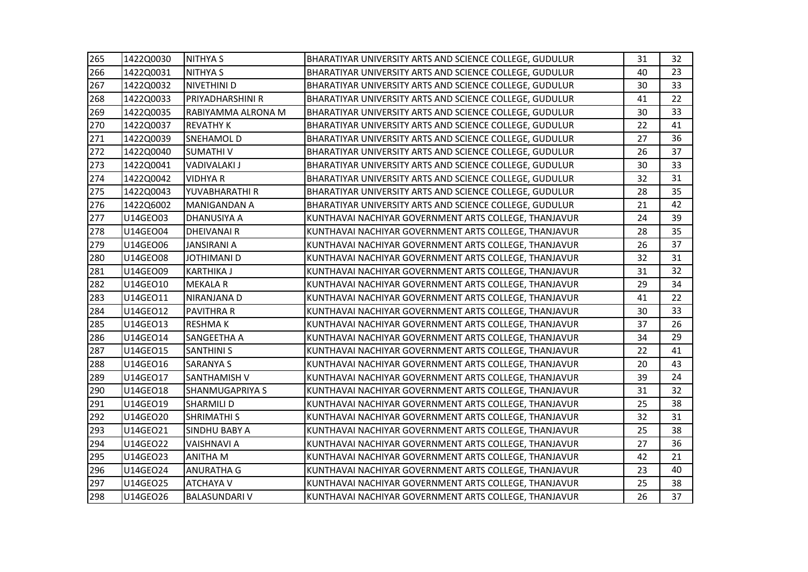| 265 | 1422Q0030 | <b>NITHYA S</b>         | BHARATIYAR UNIVERSITY ARTS AND SCIENCE COLLEGE, GUDULUR | 31 | 32 |
|-----|-----------|-------------------------|---------------------------------------------------------|----|----|
| 266 | 1422Q0031 | <b>NITHYA S</b>         | BHARATIYAR UNIVERSITY ARTS AND SCIENCE COLLEGE, GUDULUR | 40 | 23 |
| 267 | 1422Q0032 | NIVETHINI D             | BHARATIYAR UNIVERSITY ARTS AND SCIENCE COLLEGE, GUDULUR | 30 | 33 |
| 268 | 1422Q0033 | <b>PRIYADHARSHINI R</b> | BHARATIYAR UNIVERSITY ARTS AND SCIENCE COLLEGE, GUDULUR | 41 | 22 |
| 269 | 1422Q0035 | RABIYAMMA ALRONA M      | BHARATIYAR UNIVERSITY ARTS AND SCIENCE COLLEGE, GUDULUR | 30 | 33 |
| 270 | 1422Q0037 | <b>REVATHY K</b>        | BHARATIYAR UNIVERSITY ARTS AND SCIENCE COLLEGE, GUDULUR | 22 | 41 |
| 271 | 1422Q0039 | <b>SNEHAMOLD</b>        | BHARATIYAR UNIVERSITY ARTS AND SCIENCE COLLEGE, GUDULUR | 27 | 36 |
| 272 | 1422Q0040 | <b>SUMATHIV</b>         | BHARATIYAR UNIVERSITY ARTS AND SCIENCE COLLEGE, GUDULUR | 26 | 37 |
| 273 | 1422Q0041 | <b>VADIVALAKI J</b>     | BHARATIYAR UNIVERSITY ARTS AND SCIENCE COLLEGE, GUDULUR | 30 | 33 |
| 274 | 1422Q0042 | <b>VIDHYA R</b>         | BHARATIYAR UNIVERSITY ARTS AND SCIENCE COLLEGE, GUDULUR | 32 | 31 |
| 275 | 1422Q0043 | YUVABHARATHI R          | BHARATIYAR UNIVERSITY ARTS AND SCIENCE COLLEGE, GUDULUR | 28 | 35 |
| 276 | 1422Q6002 | <b>MANIGANDAN A</b>     | BHARATIYAR UNIVERSITY ARTS AND SCIENCE COLLEGE, GUDULUR | 21 | 42 |
| 277 | U14GEO03  | <b>DHANUSIYA A</b>      | KUNTHAVAI NACHIYAR GOVERNMENT ARTS COLLEGE, THANJAVUR   | 24 | 39 |
| 278 | U14GEO04  | <b>DHEIVANAIR</b>       | KUNTHAVAI NACHIYAR GOVERNMENT ARTS COLLEGE, THANJAVUR   | 28 | 35 |
| 279 | U14GEO06  | <b>JANSIRANI A</b>      | KUNTHAVAI NACHIYAR GOVERNMENT ARTS COLLEGE, THANJAVUR   | 26 | 37 |
| 280 | U14GEO08  | <b>JOTHIMANI D</b>      | KUNTHAVAI NACHIYAR GOVERNMENT ARTS COLLEGE, THANJAVUR   | 32 | 31 |
| 281 | U14GEO09  | <b>KARTHIKA J</b>       | KUNTHAVAI NACHIYAR GOVERNMENT ARTS COLLEGE, THANJAVUR   | 31 | 32 |
| 282 | U14GEO10  | <b>MEKALA R</b>         | KUNTHAVAI NACHIYAR GOVERNMENT ARTS COLLEGE, THANJAVUR   | 29 | 34 |
| 283 | U14GEO11  | <b>NIRANJANA D</b>      | KUNTHAVAI NACHIYAR GOVERNMENT ARTS COLLEGE, THANJAVUR   | 41 | 22 |
| 284 | U14GE012  | <b>PAVITHRA R</b>       | KUNTHAVAI NACHIYAR GOVERNMENT ARTS COLLEGE, THANJAVUR   | 30 | 33 |
| 285 | U14GEO13  | <b>RESHMAK</b>          | KUNTHAVAI NACHIYAR GOVERNMENT ARTS COLLEGE, THANJAVUR   | 37 | 26 |
| 286 | U14GEO14  | SANGEETHA A             | KUNTHAVAI NACHIYAR GOVERNMENT ARTS COLLEGE, THANJAVUR   | 34 | 29 |
| 287 | U14GEO15  | <b>SANTHINI S</b>       | KUNTHAVAI NACHIYAR GOVERNMENT ARTS COLLEGE, THANJAVUR   | 22 | 41 |
| 288 | U14GEO16  | <b>SARANYA S</b>        | KUNTHAVAI NACHIYAR GOVERNMENT ARTS COLLEGE, THANJAVUR   | 20 | 43 |
| 289 | U14GEO17  | SANTHAMISH V            | KUNTHAVAI NACHIYAR GOVERNMENT ARTS COLLEGE, THANJAVUR   | 39 | 24 |
| 290 | U14GE018  | <b>SHANMUGAPRIYA S</b>  | KUNTHAVAI NACHIYAR GOVERNMENT ARTS COLLEGE, THANJAVUR   | 31 | 32 |
| 291 | U14GEO19  | <b>SHARMILI D</b>       | KUNTHAVAI NACHIYAR GOVERNMENT ARTS COLLEGE, THANJAVUR   | 25 | 38 |
| 292 | U14GEO20  | <b>SHRIMATHI S</b>      | KUNTHAVAI NACHIYAR GOVERNMENT ARTS COLLEGE, THANJAVUR   | 32 | 31 |
| 293 | U14GEO21  | <b>SINDHU BABY A</b>    | KUNTHAVAI NACHIYAR GOVERNMENT ARTS COLLEGE, THANJAVUR   | 25 | 38 |
| 294 | U14GEO22  | <b>VAISHNAVI A</b>      | KUNTHAVAI NACHIYAR GOVERNMENT ARTS COLLEGE, THANJAVUR   | 27 | 36 |
| 295 | U14GEO23  | <b>ANITHA M</b>         | KUNTHAVAI NACHIYAR GOVERNMENT ARTS COLLEGE, THANJAVUR   | 42 | 21 |
| 296 | U14GEO24  | <b>ANURATHA G</b>       | KUNTHAVAI NACHIYAR GOVERNMENT ARTS COLLEGE, THANJAVUR   | 23 | 40 |
| 297 | U14GEO25  | <b>ATCHAYA V</b>        | KUNTHAVAI NACHIYAR GOVERNMENT ARTS COLLEGE, THANJAVUR   | 25 | 38 |
| 298 | U14GEO26  | <b>BALASUNDARI V</b>    | KUNTHAVAI NACHIYAR GOVERNMENT ARTS COLLEGE, THANJAVUR   | 26 | 37 |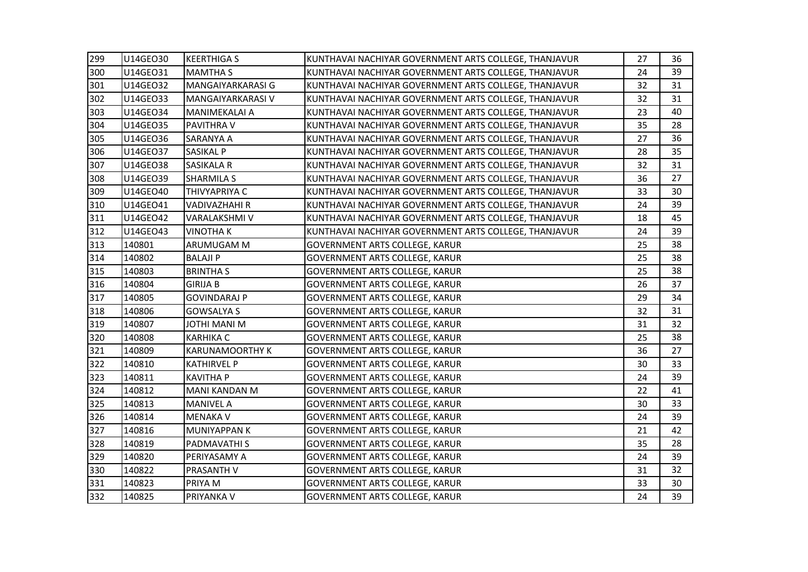| 299 | U14GEO30 | <b>KEERTHIGA S</b>     | KUNTHAVAI NACHIYAR GOVERNMENT ARTS COLLEGE, THANJAVUR | 27 | 36              |
|-----|----------|------------------------|-------------------------------------------------------|----|-----------------|
| 300 | U14GEO31 | <b>MAMTHA S</b>        | KUNTHAVAI NACHIYAR GOVERNMENT ARTS COLLEGE, THANJAVUR | 24 | 39              |
| 301 | U14GE032 | MANGAIYARKARASI G      | KUNTHAVAI NACHIYAR GOVERNMENT ARTS COLLEGE, THANJAVUR | 32 | 31              |
| 302 | U14GEO33 | MANGAIYARKARASI V      | KUNTHAVAI NACHIYAR GOVERNMENT ARTS COLLEGE, THANJAVUR | 32 | 31              |
| 303 | U14GE034 | MANIMEKALAI A          | KUNTHAVAI NACHIYAR GOVERNMENT ARTS COLLEGE, THANJAVUR | 23 | 40              |
| 304 | U14GEO35 | <b>PAVITHRA V</b>      | KUNTHAVAI NACHIYAR GOVERNMENT ARTS COLLEGE, THANJAVUR | 35 | 28              |
| 305 | U14GE036 | <b>SARANYA A</b>       | KUNTHAVAI NACHIYAR GOVERNMENT ARTS COLLEGE, THANJAVUR | 27 | 36              |
| 306 | U14GE037 | <b>SASIKAL P</b>       | KUNTHAVAI NACHIYAR GOVERNMENT ARTS COLLEGE, THANJAVUR | 28 | 35              |
| 307 | U14GE038 | <b>SASIKALA R</b>      | KUNTHAVAI NACHIYAR GOVERNMENT ARTS COLLEGE, THANJAVUR | 32 | 31              |
| 308 | U14GEO39 | <b>SHARMILA S</b>      | KUNTHAVAI NACHIYAR GOVERNMENT ARTS COLLEGE, THANJAVUR | 36 | 27              |
| 309 | U14GEO40 | THIVYAPRIYA C          | KUNTHAVAI NACHIYAR GOVERNMENT ARTS COLLEGE, THANJAVUR | 33 | 30              |
| 310 | U14GEO41 | <b>VADIVAZHAHI R</b>   | KUNTHAVAI NACHIYAR GOVERNMENT ARTS COLLEGE, THANJAVUR | 24 | 39              |
| 311 | U14GEO42 | <b>VARALAKSHMI V</b>   | KUNTHAVAI NACHIYAR GOVERNMENT ARTS COLLEGE, THANJAVUR | 18 | 45              |
| 312 | U14GEO43 | <b>VINOTHAK</b>        | KUNTHAVAI NACHIYAR GOVERNMENT ARTS COLLEGE, THANJAVUR | 24 | 39              |
| 313 | 140801   | <b>ARUMUGAM M</b>      | <b>GOVERNMENT ARTS COLLEGE, KARUR</b>                 | 25 | 38              |
| 314 | 140802   | <b>BALAJI P</b>        | GOVERNMENT ARTS COLLEGE, KARUR                        | 25 | 38              |
| 315 | 140803   | <b>BRINTHA S</b>       | <b>GOVERNMENT ARTS COLLEGE, KARUR</b>                 | 25 | 38              |
| 316 | 140804   | <b>GIRIJA B</b>        | <b>GOVERNMENT ARTS COLLEGE, KARUR</b>                 | 26 | 37              |
| 317 | 140805   | <b>GOVINDARAJ P</b>    | <b>GOVERNMENT ARTS COLLEGE, KARUR</b>                 | 29 | 34              |
| 318 | 140806   | <b>GOWSALYA S</b>      | <b>GOVERNMENT ARTS COLLEGE, KARUR</b>                 | 32 | 31              |
| 319 | 140807   | M INAM IHTOL           | <b>GOVERNMENT ARTS COLLEGE, KARUR</b>                 | 31 | 32              |
| 320 | 140808   | <b>KARHIKA C</b>       | <b>GOVERNMENT ARTS COLLEGE, KARUR</b>                 | 25 | 38              |
| 321 | 140809   | <b>KARUNAMOORTHY K</b> | <b>GOVERNMENT ARTS COLLEGE, KARUR</b>                 | 36 | 27              |
| 322 | 140810   | <b>KATHIRVEL P</b>     | <b>GOVERNMENT ARTS COLLEGE, KARUR</b>                 | 30 | 33              |
| 323 | 140811   | <b>KAVITHA P</b>       | <b>GOVERNMENT ARTS COLLEGE, KARUR</b>                 | 24 | 39              |
| 324 | 140812   | MANI KANDAN M          | GOVERNMENT ARTS COLLEGE, KARUR                        | 22 | 41              |
| 325 | 140813   | <b>MANIVEL A</b>       | <b>GOVERNMENT ARTS COLLEGE, KARUR</b>                 | 30 | 33              |
| 326 | 140814   | <b>MENAKA V</b>        | <b>GOVERNMENT ARTS COLLEGE, KARUR</b>                 | 24 | 39              |
| 327 | 140816   | <b>MUNIYAPPAN K</b>    | <b>GOVERNMENT ARTS COLLEGE, KARUR</b>                 | 21 | 42              |
| 328 | 140819   | PADMAVATHI S           | <b>GOVERNMENT ARTS COLLEGE, KARUR</b>                 | 35 | 28              |
| 329 | 140820   | PERIYASAMY A           | <b>GOVERNMENT ARTS COLLEGE, KARUR</b>                 | 24 | 39              |
| 330 | 140822   | PRASANTH V             | <b>GOVERNMENT ARTS COLLEGE, KARUR</b>                 | 31 | 32 <sup>2</sup> |
| 331 | 140823   | PRIYA M                | <b>GOVERNMENT ARTS COLLEGE, KARUR</b>                 | 33 | 30              |
| 332 | 140825   | PRIYANKA V             | <b>GOVERNMENT ARTS COLLEGE, KARUR</b>                 | 24 | 39              |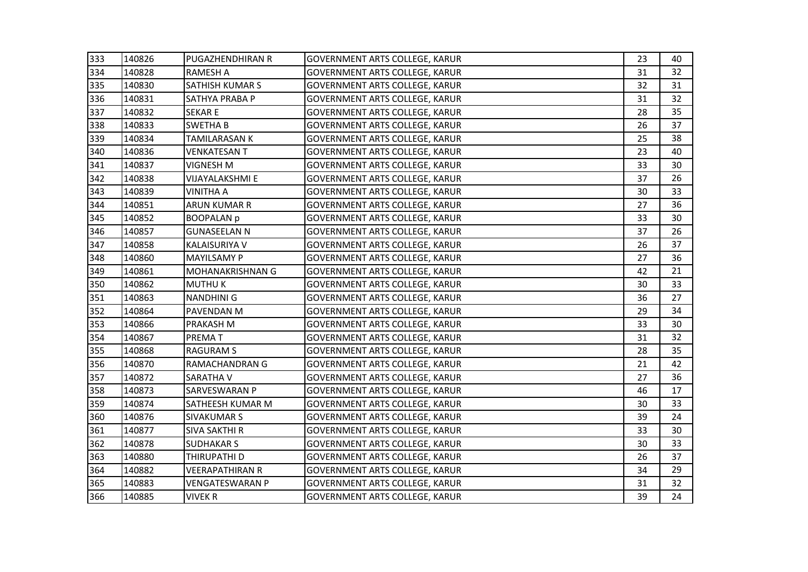| 333 | 140826 | <b>PUGAZHENDHIRAN R</b> | <b>GOVERNMENT ARTS COLLEGE, KARUR</b> | 23 | 40 |
|-----|--------|-------------------------|---------------------------------------|----|----|
| 334 | 140828 | <b>RAMESH A</b>         | <b>GOVERNMENT ARTS COLLEGE, KARUR</b> | 31 | 32 |
| 335 | 140830 | <b>SATHISH KUMAR S</b>  | <b>GOVERNMENT ARTS COLLEGE, KARUR</b> | 32 | 31 |
| 336 | 140831 | SATHYA PRABA P          | <b>GOVERNMENT ARTS COLLEGE, KARUR</b> | 31 | 32 |
| 337 | 140832 | <b>SEKARE</b>           | <b>GOVERNMENT ARTS COLLEGE, KARUR</b> | 28 | 35 |
| 338 | 140833 | <b>SWETHAB</b>          | GOVERNMENT ARTS COLLEGE, KARUR        | 26 | 37 |
| 339 | 140834 | <b>TAMILARASAN K</b>    | GOVERNMENT ARTS COLLEGE, KARUR        | 25 | 38 |
| 340 | 140836 | <b>VENKATESAN T</b>     | <b>GOVERNMENT ARTS COLLEGE, KARUR</b> | 23 | 40 |
| 341 | 140837 | <b>VIGNESH M</b>        | <b>GOVERNMENT ARTS COLLEGE, KARUR</b> | 33 | 30 |
| 342 | 140838 | <b>VIJAYALAKSHMI E</b>  | <b>GOVERNMENT ARTS COLLEGE, KARUR</b> | 37 | 26 |
| 343 | 140839 | <b>VINITHA A</b>        | <b>GOVERNMENT ARTS COLLEGE, KARUR</b> | 30 | 33 |
| 344 | 140851 | <b>ARUN KUMAR R</b>     | GOVERNMENT ARTS COLLEGE, KARUR        | 27 | 36 |
| 345 | 140852 | <b>BOOPALAN p</b>       | <b>GOVERNMENT ARTS COLLEGE, KARUR</b> | 33 | 30 |
| 346 | 140857 | <b>GUNASEELAN N</b>     | <b>GOVERNMENT ARTS COLLEGE, KARUR</b> | 37 | 26 |
| 347 | 140858 | <b>KALAISURIYA V</b>    | <b>GOVERNMENT ARTS COLLEGE, KARUR</b> | 26 | 37 |
| 348 | 140860 | <b>MAYILSAMY P</b>      | GOVERNMENT ARTS COLLEGE, KARUR        | 27 | 36 |
| 349 | 140861 | MOHANAKRISHNAN G        | <b>GOVERNMENT ARTS COLLEGE, KARUR</b> | 42 | 21 |
| 350 | 140862 | <b>MUTHUK</b>           | <b>GOVERNMENT ARTS COLLEGE, KARUR</b> | 30 | 33 |
| 351 | 140863 | <b>NANDHINI G</b>       | <b>GOVERNMENT ARTS COLLEGE, KARUR</b> | 36 | 27 |
| 352 | 140864 | PAVENDAN M              | <b>GOVERNMENT ARTS COLLEGE, KARUR</b> | 29 | 34 |
| 353 | 140866 | PRAKASH M               | GOVERNMENT ARTS COLLEGE, KARUR        | 33 | 30 |
| 354 | 140867 | <b>PREMAT</b>           | <b>GOVERNMENT ARTS COLLEGE, KARUR</b> | 31 | 32 |
| 355 | 140868 | <b>RAGURAM S</b>        | <b>GOVERNMENT ARTS COLLEGE, KARUR</b> | 28 | 35 |
| 356 | 140870 | RAMACHANDRAN G          | <b>GOVERNMENT ARTS COLLEGE, KARUR</b> | 21 | 42 |
| 357 | 140872 | <b>SARATHA V</b>        | <b>GOVERNMENT ARTS COLLEGE, KARUR</b> | 27 | 36 |
| 358 | 140873 | <b>SARVESWARAN P</b>    | <b>GOVERNMENT ARTS COLLEGE, KARUR</b> | 46 | 17 |
| 359 | 140874 | SATHEESH KUMAR M        | <b>GOVERNMENT ARTS COLLEGE, KARUR</b> | 30 | 33 |
| 360 | 140876 | <b>SIVAKUMAR S</b>      | <b>GOVERNMENT ARTS COLLEGE, KARUR</b> | 39 | 24 |
| 361 | 140877 | <b>SIVA SAKTHI R</b>    | <b>GOVERNMENT ARTS COLLEGE, KARUR</b> | 33 | 30 |
| 362 | 140878 | <b>SUDHAKAR S</b>       | <b>GOVERNMENT ARTS COLLEGE, KARUR</b> | 30 | 33 |
| 363 | 140880 | THIRUPATHI D            | <b>GOVERNMENT ARTS COLLEGE, KARUR</b> | 26 | 37 |
| 364 | 140882 | <b>VEERAPATHIRAN R</b>  | <b>GOVERNMENT ARTS COLLEGE, KARUR</b> | 34 | 29 |
| 365 | 140883 | <b>VENGATESWARAN P</b>  | <b>GOVERNMENT ARTS COLLEGE, KARUR</b> | 31 | 32 |
| 366 | 140885 | <b>VIVEK R</b>          | <b>GOVERNMENT ARTS COLLEGE, KARUR</b> | 39 | 24 |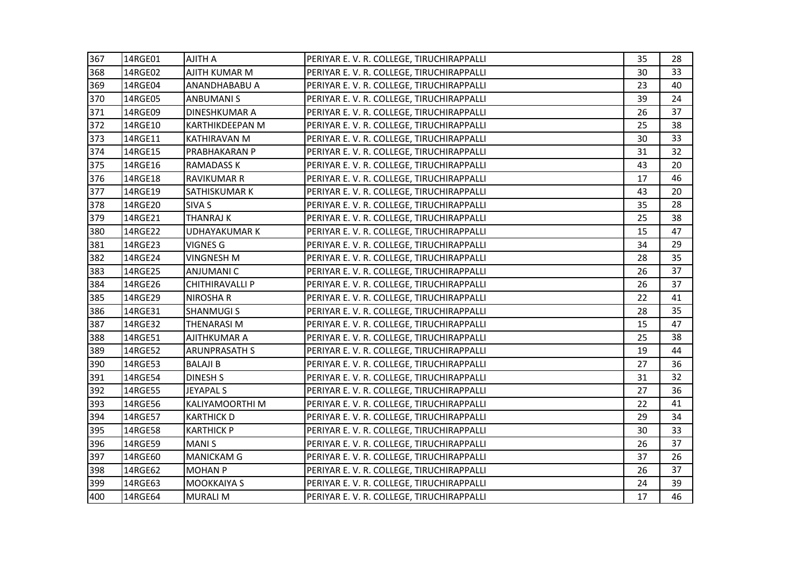| 367 | 14RGE01 | <b>AJITH A</b>         | PERIYAR E. V. R. COLLEGE, TIRUCHIRAPPALLI | 35 | 28 |
|-----|---------|------------------------|-------------------------------------------|----|----|
| 368 | 14RGE02 | AJITH KUMAR M          | PERIYAR E. V. R. COLLEGE, TIRUCHIRAPPALLI | 30 | 33 |
| 369 | 14RGE04 | ANANDHABABU A          | PERIYAR E. V. R. COLLEGE, TIRUCHIRAPPALLI | 23 | 40 |
| 370 | 14RGE05 | <b>ANBUMANIS</b>       | PERIYAR E. V. R. COLLEGE, TIRUCHIRAPPALLI | 39 | 24 |
| 371 | 14RGE09 | <b>DINESHKUMAR A</b>   | PERIYAR E. V. R. COLLEGE, TIRUCHIRAPPALLI | 26 | 37 |
| 372 | 14RGE10 | KARTHIKDEEPAN M        | PERIYAR E. V. R. COLLEGE, TIRUCHIRAPPALLI | 25 | 38 |
| 373 | 14RGE11 | <b>KATHIRAVAN M</b>    | PERIYAR E. V. R. COLLEGE, TIRUCHIRAPPALLI | 30 | 33 |
| 374 | 14RGE15 | PRABHAKARAN P          | PERIYAR E. V. R. COLLEGE, TIRUCHIRAPPALLI | 31 | 32 |
| 375 | 14RGE16 | <b>RAMADASS K</b>      | PERIYAR E. V. R. COLLEGE, TIRUCHIRAPPALLI | 43 | 20 |
| 376 | 14RGE18 | <b>RAVIKUMAR R</b>     | PERIYAR E. V. R. COLLEGE, TIRUCHIRAPPALLI | 17 | 46 |
| 377 | 14RGE19 | SATHISKUMAR K          | PERIYAR E. V. R. COLLEGE, TIRUCHIRAPPALLI | 43 | 20 |
| 378 | 14RGE20 | <b>SIVA S</b>          | PERIYAR E. V. R. COLLEGE, TIRUCHIRAPPALLI | 35 | 28 |
| 379 | 14RGE21 | <b>THANRAJ K</b>       | PERIYAR E. V. R. COLLEGE, TIRUCHIRAPPALLI | 25 | 38 |
| 380 | 14RGE22 | <b>UDHAYAKUMAR K</b>   | PERIYAR E. V. R. COLLEGE, TIRUCHIRAPPALLI | 15 | 47 |
| 381 | 14RGE23 | <b>VIGNES G</b>        | PERIYAR E. V. R. COLLEGE, TIRUCHIRAPPALLI | 34 | 29 |
| 382 | 14RGE24 | <b>VINGNESH M</b>      | PERIYAR E. V. R. COLLEGE, TIRUCHIRAPPALLI | 28 | 35 |
| 383 | 14RGE25 | <b>ANJUMANI C</b>      | PERIYAR E. V. R. COLLEGE, TIRUCHIRAPPALLI | 26 | 37 |
| 384 | 14RGE26 | <b>CHITHIRAVALLI P</b> | PERIYAR E. V. R. COLLEGE, TIRUCHIRAPPALLI | 26 | 37 |
| 385 | 14RGE29 | <b>NIROSHAR</b>        | PERIYAR E. V. R. COLLEGE, TIRUCHIRAPPALLI | 22 | 41 |
| 386 | 14RGE31 | <b>SHANMUGIS</b>       | PERIYAR E. V. R. COLLEGE, TIRUCHIRAPPALLI | 28 | 35 |
| 387 | 14RGE32 | <b>THENARASIM</b>      | PERIYAR E. V. R. COLLEGE, TIRUCHIRAPPALLI | 15 | 47 |
| 388 | 14RGE51 | <b>AJITHKUMAR A</b>    | PERIYAR E. V. R. COLLEGE, TIRUCHIRAPPALLI | 25 | 38 |
| 389 | 14RGE52 | <b>ARUNPRASATH S</b>   | PERIYAR E. V. R. COLLEGE, TIRUCHIRAPPALLI | 19 | 44 |
| 390 | 14RGE53 | <b>BALAJI B</b>        | PERIYAR E. V. R. COLLEGE, TIRUCHIRAPPALLI | 27 | 36 |
| 391 | 14RGE54 | <b>DINESH S</b>        | PERIYAR E. V. R. COLLEGE, TIRUCHIRAPPALLI | 31 | 32 |
| 392 | 14RGE55 | <b>JEYAPAL S</b>       | PERIYAR E. V. R. COLLEGE, TIRUCHIRAPPALLI | 27 | 36 |
| 393 | 14RGE56 | <b>KALIYAMOORTHI M</b> | PERIYAR E. V. R. COLLEGE, TIRUCHIRAPPALLI | 22 | 41 |
| 394 | 14RGE57 | <b>KARTHICK D</b>      | PERIYAR E. V. R. COLLEGE, TIRUCHIRAPPALLI | 29 | 34 |
| 395 | 14RGE58 | <b>KARTHICK P</b>      | PERIYAR E. V. R. COLLEGE, TIRUCHIRAPPALLI | 30 | 33 |
| 396 | 14RGE59 | <b>MANIS</b>           | PERIYAR E. V. R. COLLEGE, TIRUCHIRAPPALLI | 26 | 37 |
| 397 | 14RGE60 | <b>MANICKAM G</b>      | PERIYAR E. V. R. COLLEGE, TIRUCHIRAPPALLI | 37 | 26 |
| 398 | 14RGE62 | <b>MOHAN P</b>         | PERIYAR E. V. R. COLLEGE, TIRUCHIRAPPALLI | 26 | 37 |
| 399 | 14RGE63 | <b>MOOKKAIYA S</b>     | PERIYAR E. V. R. COLLEGE, TIRUCHIRAPPALLI | 24 | 39 |
| 400 | 14RGE64 | <b>MURALI M</b>        | PERIYAR E. V. R. COLLEGE, TIRUCHIRAPPALLI | 17 | 46 |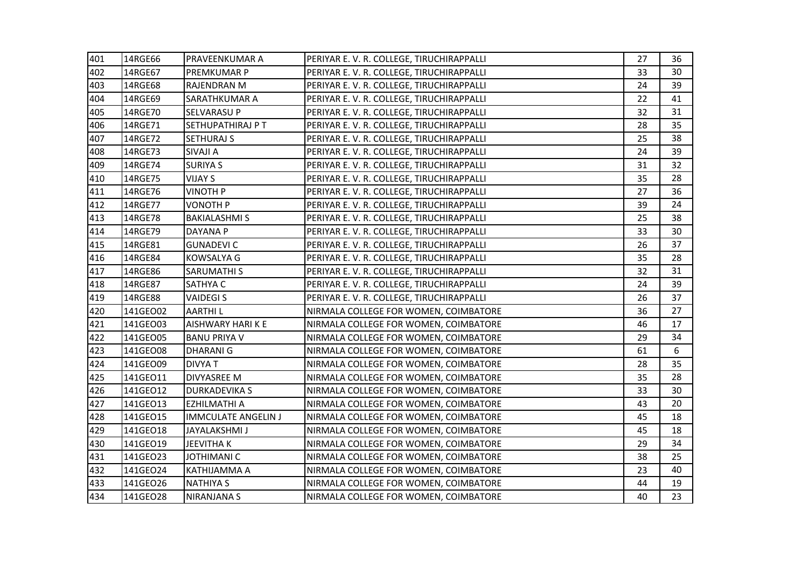| 401 | 14RGE66  | PRAVEENKUMAR A             | PERIYAR E. V. R. COLLEGE, TIRUCHIRAPPALLI | 27 | 36 |
|-----|----------|----------------------------|-------------------------------------------|----|----|
| 402 | 14RGE67  | PREMKUMAR P                | PERIYAR E. V. R. COLLEGE, TIRUCHIRAPPALLI | 33 | 30 |
| 403 | 14RGE68  | <b>RAJENDRAN M</b>         | PERIYAR E. V. R. COLLEGE, TIRUCHIRAPPALLI | 24 | 39 |
| 404 | 14RGE69  | SARATHKUMAR A              | PERIYAR E. V. R. COLLEGE, TIRUCHIRAPPALLI | 22 | 41 |
| 405 | 14RGE70  | SELVARASU P                | PERIYAR E. V. R. COLLEGE, TIRUCHIRAPPALLI | 32 | 31 |
| 406 | 14RGE71  | <b>SETHUPATHIRAJ P T</b>   | PERIYAR E.V. R. COLLEGE, TIRUCHIRAPPALLI  | 28 | 35 |
| 407 | 14RGE72  | <b>SETHURAJ S</b>          | PERIYAR E.V. R. COLLEGE, TIRUCHIRAPPALLI  | 25 | 38 |
| 408 | 14RGE73  | <b>SIVAJI A</b>            | PERIYAR E. V. R. COLLEGE, TIRUCHIRAPPALLI | 24 | 39 |
| 409 | 14RGE74  | <b>SURIYA S</b>            | PERIYAR E. V. R. COLLEGE, TIRUCHIRAPPALLI | 31 | 32 |
| 410 | 14RGE75  | <b>VIJAY S</b>             | PERIYAR E. V. R. COLLEGE, TIRUCHIRAPPALLI | 35 | 28 |
| 411 | 14RGE76  | <b>VINOTH P</b>            | PERIYAR E.V. R. COLLEGE, TIRUCHIRAPPALLI  | 27 | 36 |
| 412 | 14RGE77  | <b>VONOTH P</b>            | PERIYAR E.V. R. COLLEGE, TIRUCHIRAPPALLI  | 39 | 24 |
| 413 | 14RGE78  | <b>BAKIALASHMI S</b>       | PERIYAR E. V. R. COLLEGE, TIRUCHIRAPPALLI | 25 | 38 |
| 414 | 14RGE79  | <b>DAYANA P</b>            | PERIYAR E. V. R. COLLEGE, TIRUCHIRAPPALLI | 33 | 30 |
| 415 | 14RGE81  | <b>GUNADEVI C</b>          | PERIYAR E. V. R. COLLEGE, TIRUCHIRAPPALLI | 26 | 37 |
| 416 | 14RGE84  | <b>KOWSALYA G</b>          | PERIYAR E.V. R. COLLEGE, TIRUCHIRAPPALLI  | 35 | 28 |
| 417 | 14RGE86  | <b>SARUMATHI S</b>         | PERIYAR E.V. R. COLLEGE, TIRUCHIRAPPALLI  | 32 | 31 |
| 418 | 14RGE87  | <b>SATHYA C</b>            | PERIYAR E. V. R. COLLEGE, TIRUCHIRAPPALLI | 24 | 39 |
| 419 | 14RGE88  | <b>VAIDEGIS</b>            | PERIYAR E. V. R. COLLEGE, TIRUCHIRAPPALLI | 26 | 37 |
| 420 | 141GEO02 | <b>AARTHIL</b>             | NIRMALA COLLEGE FOR WOMEN, COIMBATORE     | 36 | 27 |
| 421 | 141GEO03 | AISHWARY HARI K E          | NIRMALA COLLEGE FOR WOMEN, COIMBATORE     | 46 | 17 |
| 422 | 141GEO05 | <b>BANU PRIYA V</b>        | NIRMALA COLLEGE FOR WOMEN, COIMBATORE     | 29 | 34 |
| 423 | 141GEO08 | <b>DHARANIG</b>            | NIRMALA COLLEGE FOR WOMEN, COIMBATORE     | 61 | 6  |
| 424 | 141GEO09 | <b>DIVYA T</b>             | NIRMALA COLLEGE FOR WOMEN, COIMBATORE     | 28 | 35 |
| 425 | 141GEO11 | <b>DIVYASREE M</b>         | NIRMALA COLLEGE FOR WOMEN, COIMBATORE     | 35 | 28 |
| 426 | 141GE012 | <b>DURKADEVIKA S</b>       | NIRMALA COLLEGE FOR WOMEN, COIMBATORE     | 33 | 30 |
| 427 | 141GEO13 | <b>EZHILMATHI A</b>        | NIRMALA COLLEGE FOR WOMEN, COIMBATORE     | 43 | 20 |
| 428 | 141GE015 | <b>IMMCULATE ANGELIN J</b> | NIRMALA COLLEGE FOR WOMEN, COIMBATORE     | 45 | 18 |
| 429 | 141GE018 | <b>JAYALAKSHMI J</b>       | NIRMALA COLLEGE FOR WOMEN, COIMBATORE     | 45 | 18 |
| 430 | 141GEO19 | <b>JEEVITHAK</b>           | NIRMALA COLLEGE FOR WOMEN, COIMBATORE     | 29 | 34 |
| 431 | 141GEO23 | JOTHIMANI C                | NIRMALA COLLEGE FOR WOMEN, COIMBATORE     | 38 | 25 |
| 432 | 141GEO24 | KATHIJAMMA A               | NIRMALA COLLEGE FOR WOMEN, COIMBATORE     | 23 | 40 |
| 433 | 141GEO26 | <b>NATHIYA S</b>           | NIRMALA COLLEGE FOR WOMEN, COIMBATORE     | 44 | 19 |
| 434 | 141GEO28 | <b>NIRANJANA S</b>         | NIRMALA COLLEGE FOR WOMEN, COIMBATORE     | 40 | 23 |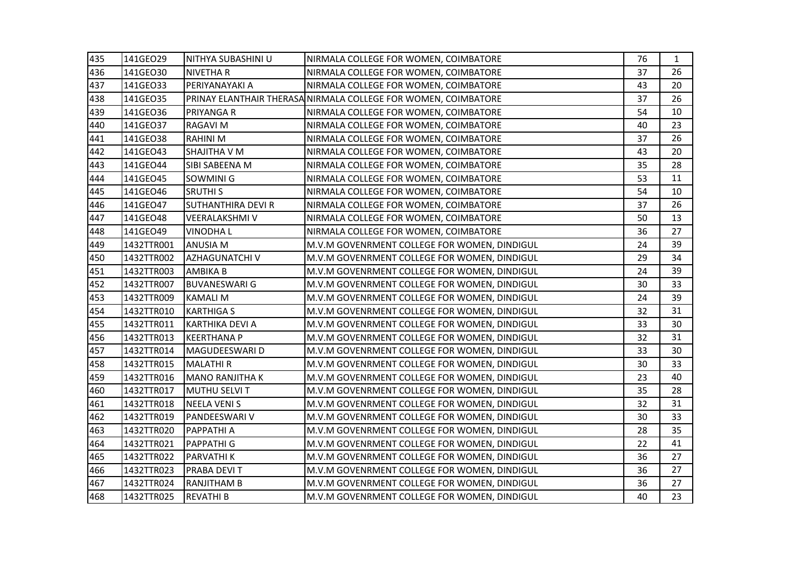| 435 | 141GEO29   | NITHYA SUBASHINI U        | NIRMALA COLLEGE FOR WOMEN, COIMBATORE                          | 76 | 1  |
|-----|------------|---------------------------|----------------------------------------------------------------|----|----|
| 436 | 141GE030   | <b>NIVETHAR</b>           | NIRMALA COLLEGE FOR WOMEN, COIMBATORE                          | 37 | 26 |
| 437 | 141GEO33   | PERIYANAYAKI A            | NIRMALA COLLEGE FOR WOMEN, COIMBATORE                          | 43 | 20 |
| 438 | 141GEO35   |                           | PRINAY ELANTHAIR THERASA NIRMALA COLLEGE FOR WOMEN, COIMBATORE | 37 | 26 |
| 439 | 141GEO36   | <b>PRIYANGA R</b>         | NIRMALA COLLEGE FOR WOMEN, COIMBATORE                          | 54 | 10 |
| 440 | 141GE037   | RAGAVI M                  | NIRMALA COLLEGE FOR WOMEN, COIMBATORE                          | 40 | 23 |
| 441 | 141GEO38   | <b>RAHINI M</b>           | NIRMALA COLLEGE FOR WOMEN, COIMBATORE                          | 37 | 26 |
| 442 | 141GEO43   | SHAJITHA V M              | NIRMALA COLLEGE FOR WOMEN, COIMBATORE                          | 43 | 20 |
| 443 | 141GEO44   | SIBI SABEENA M            | NIRMALA COLLEGE FOR WOMEN, COIMBATORE                          | 35 | 28 |
| 444 | 141GEO45   | SOWMINI G                 | NIRMALA COLLEGE FOR WOMEN, COIMBATORE                          | 53 | 11 |
| 445 | 141GE046   | <b>SRUTHIS</b>            | NIRMALA COLLEGE FOR WOMEN, COIMBATORE                          | 54 | 10 |
| 446 | 141GEO47   | <b>SUTHANTHIRA DEVI R</b> | NIRMALA COLLEGE FOR WOMEN, COIMBATORE                          | 37 | 26 |
| 447 | 141GEO48   | <b>VEERALAKSHMI V</b>     | NIRMALA COLLEGE FOR WOMEN, COIMBATORE                          | 50 | 13 |
| 448 | 141GEO49   | <b>VINODHAL</b>           | NIRMALA COLLEGE FOR WOMEN, COIMBATORE                          | 36 | 27 |
| 449 | 1432TTR001 | <b>ANUSIA M</b>           | M.V.M GOVENRMENT COLLEGE FOR WOMEN, DINDIGUL                   | 24 | 39 |
| 450 | 1432TTR002 | <b>AZHAGUNATCHI V</b>     | M.V.M GOVENRMENT COLLEGE FOR WOMEN, DINDIGUL                   | 29 | 34 |
| 451 | 1432TTR003 | <b>AMBIKA B</b>           | M.V.M GOVENRMENT COLLEGE FOR WOMEN, DINDIGUL                   | 24 | 39 |
| 452 | 1432TTR007 | <b>BUVANESWARI G</b>      | M.V.M GOVENRMENT COLLEGE FOR WOMEN, DINDIGUL                   | 30 | 33 |
| 453 | 1432TTR009 | <b>KAMALI M</b>           | M.V.M GOVENRMENT COLLEGE FOR WOMEN, DINDIGUL                   | 24 | 39 |
| 454 | 1432TTR010 | <b>KARTHIGA S</b>         | M.V.M GOVENRMENT COLLEGE FOR WOMEN, DINDIGUL                   | 32 | 31 |
| 455 | 1432TTR011 | <b>KARTHIKA DEVI A</b>    | M.V.M GOVENRMENT COLLEGE FOR WOMEN, DINDIGUL                   | 33 | 30 |
| 456 | 1432TTR013 | <b>KEERTHANA P</b>        | M.V.M GOVENRMENT COLLEGE FOR WOMEN, DINDIGUL                   | 32 | 31 |
| 457 | 1432TTR014 | MAGUDEESWARI D            | M.V.M GOVENRMENT COLLEGE FOR WOMEN, DINDIGUL                   | 33 | 30 |
| 458 | 1432TTR015 | <b>MALATHIR</b>           | M.V.M GOVENRMENT COLLEGE FOR WOMEN, DINDIGUL                   | 30 | 33 |
| 459 | 1432TTR016 | <b>MANO RANJITHA K</b>    | M.V.M GOVENRMENT COLLEGE FOR WOMEN, DINDIGUL                   | 23 | 40 |
| 460 | 1432TTR017 | MUTHU SELVI T             | M.V.M GOVENRMENT COLLEGE FOR WOMEN, DINDIGUL                   | 35 | 28 |
| 461 | 1432TTR018 | <b>NEELA VENIS</b>        | M.V.M GOVENRMENT COLLEGE FOR WOMEN, DINDIGUL                   | 32 | 31 |
| 462 | 1432TTR019 | PANDEESWARI V             | M.V.M GOVENRMENT COLLEGE FOR WOMEN, DINDIGUL                   | 30 | 33 |
| 463 | 1432TTR020 | <b>PAPPATHI A</b>         | M.V.M GOVENRMENT COLLEGE FOR WOMEN, DINDIGUL                   | 28 | 35 |
| 464 | 1432TTR021 | <b>PAPPATHI G</b>         | M.V.M GOVENRMENT COLLEGE FOR WOMEN, DINDIGUL                   | 22 | 41 |
| 465 | 1432TTR022 | PARVATHI K                | M.V.M GOVENRMENT COLLEGE FOR WOMEN, DINDIGUL                   | 36 | 27 |
| 466 | 1432TTR023 | PRABA DEVIT               | M.V.M GOVENRMENT COLLEGE FOR WOMEN, DINDIGUL                   | 36 | 27 |
| 467 | 1432TTR024 | <b>RANJITHAM B</b>        | M.V.M GOVENRMENT COLLEGE FOR WOMEN, DINDIGUL                   | 36 | 27 |
| 468 | 1432TTR025 | <b>REVATHI B</b>          | M.V.M GOVENRMENT COLLEGE FOR WOMEN, DINDIGUL                   | 40 | 23 |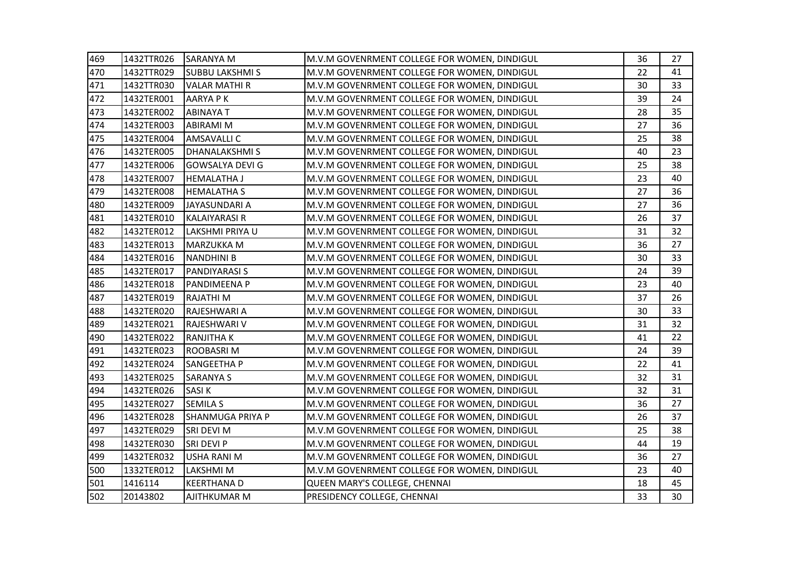| 469 | 1432TTR026 | <b>SARANYA M</b>        | M.V.M GOVENRMENT COLLEGE FOR WOMEN, DINDIGUL | 36 | 27 |
|-----|------------|-------------------------|----------------------------------------------|----|----|
| 470 | 1432TTR029 | <b>SUBBU LAKSHMI S</b>  | M.V.M GOVENRMENT COLLEGE FOR WOMEN, DINDIGUL | 22 | 41 |
| 471 | 1432TTR030 | <b>VALAR MATHI R</b>    | M.V.M GOVENRMENT COLLEGE FOR WOMEN, DINDIGUL | 30 | 33 |
| 472 | 1432TER001 | <b>AARYA PK</b>         | M.V.M GOVENRMENT COLLEGE FOR WOMEN, DINDIGUL | 39 | 24 |
| 473 | 1432TER002 | <b>ABINAYA T</b>        | M.V.M GOVENRMENT COLLEGE FOR WOMEN, DINDIGUL | 28 | 35 |
| 474 | 1432TER003 | ABIRAMI M               | M.V.M GOVENRMENT COLLEGE FOR WOMEN, DINDIGUL | 27 | 36 |
| 475 | 1432TER004 | <b>AMSAVALLI C</b>      | M.V.M GOVENRMENT COLLEGE FOR WOMEN, DINDIGUL | 25 | 38 |
| 476 | 1432TER005 | <b>DHANALAKSHMIS</b>    | M.V.M GOVENRMENT COLLEGE FOR WOMEN, DINDIGUL | 40 | 23 |
| 477 | 1432TER006 | <b>GOWSALYA DEVI G</b>  | M.V.M GOVENRMENT COLLEGE FOR WOMEN, DINDIGUL | 25 | 38 |
| 478 | 1432TER007 | <b>HEMALATHA J</b>      | M.V.M GOVENRMENT COLLEGE FOR WOMEN, DINDIGUL | 23 | 40 |
| 479 | 1432TER008 | <b>HEMALATHA S</b>      | M.V.M GOVENRMENT COLLEGE FOR WOMEN, DINDIGUL | 27 | 36 |
| 480 | 1432TER009 | JAYASUNDARI A           | M.V.M GOVENRMENT COLLEGE FOR WOMEN, DINDIGUL | 27 | 36 |
| 481 | 1432TER010 | <b>KALAIYARASI R</b>    | M.V.M GOVENRMENT COLLEGE FOR WOMEN, DINDIGUL | 26 | 37 |
| 482 | 1432TER012 | LAKSHMI PRIYA U         | M.V.M GOVENRMENT COLLEGE FOR WOMEN, DINDIGUL | 31 | 32 |
| 483 | 1432TER013 | <b>MARZUKKA M</b>       | M.V.M GOVENRMENT COLLEGE FOR WOMEN, DINDIGUL | 36 | 27 |
| 484 | 1432TER016 | <b>NANDHINI B</b>       | M.V.M GOVENRMENT COLLEGE FOR WOMEN, DINDIGUL | 30 | 33 |
| 485 | 1432TER017 | <b>PANDIYARASI S</b>    | M.V.M GOVENRMENT COLLEGE FOR WOMEN, DINDIGUL | 24 | 39 |
| 486 | 1432TER018 | PANDIMEENA P            | M.V.M GOVENRMENT COLLEGE FOR WOMEN, DINDIGUL | 23 | 40 |
| 487 | 1432TER019 | RAJATHI M               | M.V.M GOVENRMENT COLLEGE FOR WOMEN, DINDIGUL | 37 | 26 |
| 488 | 1432TER020 | RAJESHWARI A            | M.V.M GOVENRMENT COLLEGE FOR WOMEN, DINDIGUL | 30 | 33 |
| 489 | 1432TER021 | RAJESHWARI V            | M.V.M GOVENRMENT COLLEGE FOR WOMEN, DINDIGUL | 31 | 32 |
| 490 | 1432TER022 | <b>RANJITHAK</b>        | M.V.M GOVENRMENT COLLEGE FOR WOMEN, DINDIGUL | 41 | 22 |
| 491 | 1432TER023 | ROOBASRI M              | M.V.M GOVENRMENT COLLEGE FOR WOMEN, DINDIGUL | 24 | 39 |
| 492 | 1432TER024 | <b>SANGEETHA P</b>      | M.V.M GOVENRMENT COLLEGE FOR WOMEN, DINDIGUL | 22 | 41 |
| 493 | 1432TER025 | <b>SARANYA S</b>        | M.V.M GOVENRMENT COLLEGE FOR WOMEN, DINDIGUL | 32 | 31 |
| 494 | 1432TER026 | <b>SASIK</b>            | M.V.M GOVENRMENT COLLEGE FOR WOMEN, DINDIGUL | 32 | 31 |
| 495 | 1432TER027 | <b>SEMILA S</b>         | M.V.M GOVENRMENT COLLEGE FOR WOMEN, DINDIGUL | 36 | 27 |
| 496 | 1432TER028 | <b>SHANMUGA PRIYA P</b> | M.V.M GOVENRMENT COLLEGE FOR WOMEN, DINDIGUL | 26 | 37 |
| 497 | 1432TER029 | SRI DEVI M              | M.V.M GOVENRMENT COLLEGE FOR WOMEN, DINDIGUL | 25 | 38 |
| 498 | 1432TER030 | SRI DEVI P              | M.V.M GOVENRMENT COLLEGE FOR WOMEN, DINDIGUL | 44 | 19 |
| 499 | 1432TER032 | <b>USHA RANI M</b>      | M.V.M GOVENRMENT COLLEGE FOR WOMEN, DINDIGUL | 36 | 27 |
| 500 | 1332TER012 | LAKSHMI M               | M.V.M GOVENRMENT COLLEGE FOR WOMEN, DINDIGUL | 23 | 40 |
| 501 | 1416114    | <b>KEERTHANAD</b>       | QUEEN MARY'S COLLEGE, CHENNAI                | 18 | 45 |
| 502 | 20143802   | AJITHKUMAR M            | PRESIDENCY COLLEGE, CHENNAI                  | 33 | 30 |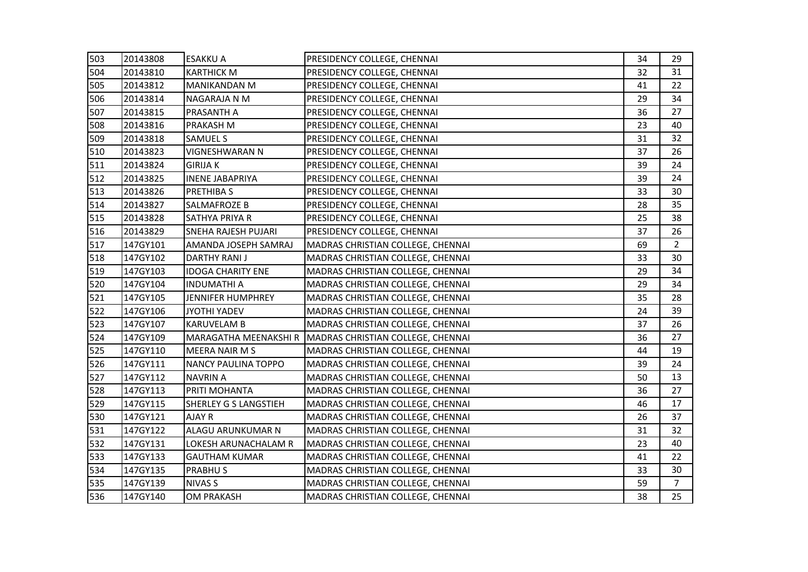| 503 | 20143808 | <b>ESAKKU A</b>              | PRESIDENCY COLLEGE, CHENNAI       | 34 | 29             |
|-----|----------|------------------------------|-----------------------------------|----|----------------|
| 504 | 20143810 | <b>KARTHICK M</b>            | PRESIDENCY COLLEGE, CHENNAI       | 32 | 31             |
| 505 | 20143812 | <b>MANIKANDAN M</b>          | PRESIDENCY COLLEGE, CHENNAI       | 41 | 22             |
| 506 | 20143814 | NAGARAJA N M                 | PRESIDENCY COLLEGE, CHENNAI       | 29 | 34             |
| 507 | 20143815 | PRASANTH A                   | PRESIDENCY COLLEGE, CHENNAI       | 36 | 27             |
| 508 | 20143816 | PRAKASH M                    | PRESIDENCY COLLEGE, CHENNAI       | 23 | 40             |
| 509 | 20143818 | <b>SAMUEL S</b>              | PRESIDENCY COLLEGE, CHENNAI       | 31 | 32             |
| 510 | 20143823 | VIGNESHWARAN N               | PRESIDENCY COLLEGE, CHENNAI       | 37 | 26             |
| 511 | 20143824 | <b>GIRIJA K</b>              | PRESIDENCY COLLEGE, CHENNAI       | 39 | 24             |
| 512 | 20143825 | <b>INENE JABAPRIYA</b>       | PRESIDENCY COLLEGE, CHENNAI       | 39 | 24             |
| 513 | 20143826 | PRETHIBA S                   | PRESIDENCY COLLEGE, CHENNAI       | 33 | 30             |
| 514 | 20143827 | SALMAFROZE B                 | PRESIDENCY COLLEGE, CHENNAI       | 28 | 35             |
| 515 | 20143828 | SATHYA PRIYA R               | PRESIDENCY COLLEGE, CHENNAI       | 25 | 38             |
| 516 | 20143829 | <b>SNEHA RAJESH PUJARI</b>   | PRESIDENCY COLLEGE, CHENNAI       | 37 | 26             |
| 517 | 147GY101 | AMANDA JOSEPH SAMRAJ         | MADRAS CHRISTIAN COLLEGE, CHENNAI | 69 | $\overline{2}$ |
| 518 | 147GY102 | <b>DARTHY RANI J</b>         | MADRAS CHRISTIAN COLLEGE, CHENNAI | 33 | 30             |
| 519 | 147GY103 | <b>IDOGA CHARITY ENE</b>     | MADRAS CHRISTIAN COLLEGE, CHENNAI | 29 | 34             |
| 520 | 147GY104 | <b>INDUMATHI A</b>           | MADRAS CHRISTIAN COLLEGE, CHENNAI | 29 | 34             |
| 521 | 147GY105 | JENNIFER HUMPHREY            | MADRAS CHRISTIAN COLLEGE, CHENNAI | 35 | 28             |
| 522 | 147GY106 | <b>JYOTHI YADEV</b>          | MADRAS CHRISTIAN COLLEGE, CHENNAI | 24 | 39             |
| 523 | 147GY107 | <b>KARUVELAM B</b>           | MADRAS CHRISTIAN COLLEGE, CHENNAI | 37 | 26             |
| 524 | 147GY109 | MARAGATHA MEENAKSHI R        | MADRAS CHRISTIAN COLLEGE, CHENNAI | 36 | 27             |
| 525 | 147GY110 | <b>MEERA NAIR MS</b>         | MADRAS CHRISTIAN COLLEGE, CHENNAI | 44 | 19             |
| 526 | 147GY111 | <b>NANCY PAULINA TOPPO</b>   | MADRAS CHRISTIAN COLLEGE, CHENNAI | 39 | 24             |
| 527 | 147GY112 | <b>NAVRIN A</b>              | MADRAS CHRISTIAN COLLEGE, CHENNAI | 50 | 13             |
| 528 | 147GY113 | PRITI MOHANTA                | MADRAS CHRISTIAN COLLEGE, CHENNAI | 36 | 27             |
| 529 | 147GY115 | <b>SHERLEY G S LANGSTIEH</b> | MADRAS CHRISTIAN COLLEGE, CHENNAI | 46 | 17             |
| 530 | 147GY121 | AJAY R                       | MADRAS CHRISTIAN COLLEGE, CHENNAI | 26 | 37             |
| 531 | 147GY122 | ALAGU ARUNKUMAR N            | MADRAS CHRISTIAN COLLEGE, CHENNAI | 31 | 32             |
| 532 | 147GY131 | LOKESH ARUNACHALAM R         | MADRAS CHRISTIAN COLLEGE, CHENNAI | 23 | 40             |
| 533 | 147GY133 | <b>GAUTHAM KUMAR</b>         | MADRAS CHRISTIAN COLLEGE, CHENNAI | 41 | 22             |
| 534 | 147GY135 | <b>PRABHUS</b>               | MADRAS CHRISTIAN COLLEGE, CHENNAI | 33 | 30             |
| 535 | 147GY139 | <b>NIVAS S</b>               | MADRAS CHRISTIAN COLLEGE, CHENNAI | 59 | $\overline{7}$ |
| 536 | 147GY140 | <b>OM PRAKASH</b>            | MADRAS CHRISTIAN COLLEGE, CHENNAI | 38 | 25             |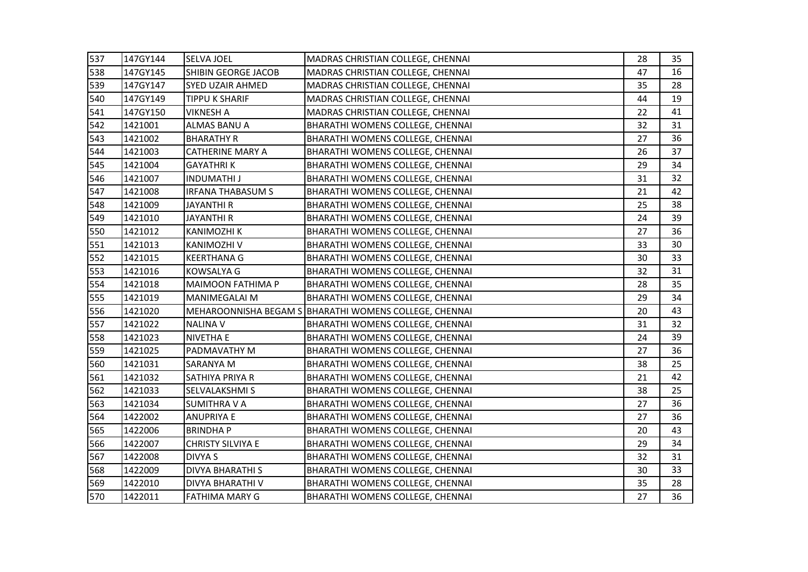| 537 | 147GY144 | <b>SELVA JOEL</b>        | MADRAS CHRISTIAN COLLEGE, CHENNAI                      | 28 | 35 |
|-----|----------|--------------------------|--------------------------------------------------------|----|----|
| 538 | 147GY145 | SHIBIN GEORGE JACOB      | MADRAS CHRISTIAN COLLEGE, CHENNAI                      | 47 | 16 |
| 539 | 147GY147 | <b>SYED UZAIR AHMED</b>  | MADRAS CHRISTIAN COLLEGE, CHENNAI                      | 35 | 28 |
| 540 | 147GY149 | <b>TIPPU K SHARIF</b>    | MADRAS CHRISTIAN COLLEGE, CHENNAI                      | 44 | 19 |
| 541 | 147GY150 | <b>VIKNESH A</b>         | MADRAS CHRISTIAN COLLEGE, CHENNAI                      | 22 | 41 |
| 542 | 1421001  | ALMAS BANU A             | BHARATHI WOMENS COLLEGE, CHENNAI                       | 32 | 31 |
| 543 | 1421002  | <b>BHARATHY R</b>        | BHARATHI WOMENS COLLEGE, CHENNAI                       | 27 | 36 |
| 544 | 1421003  | <b>CATHERINE MARY A</b>  | BHARATHI WOMENS COLLEGE, CHENNAI                       | 26 | 37 |
| 545 | 1421004  | <b>GAYATHRIK</b>         | BHARATHI WOMENS COLLEGE, CHENNAI                       | 29 | 34 |
| 546 | 1421007  | <b>INDUMATHI J</b>       | BHARATHI WOMENS COLLEGE, CHENNAI                       | 31 | 32 |
| 547 | 1421008  | <b>IRFANA THABASUM S</b> | BHARATHI WOMENS COLLEGE, CHENNAI                       | 21 | 42 |
| 548 | 1421009  | <b>JAYANTHI R</b>        | BHARATHI WOMENS COLLEGE, CHENNAI                       | 25 | 38 |
| 549 | 1421010  | <b>JAYANTHI R</b>        | BHARATHI WOMENS COLLEGE, CHENNAI                       | 24 | 39 |
| 550 | 1421012  | KANIMOZHI K              | BHARATHI WOMENS COLLEGE, CHENNAI                       | 27 | 36 |
| 551 | 1421013  | KANIMOZHI V              | BHARATHI WOMENS COLLEGE, CHENNAI                       | 33 | 30 |
| 552 | 1421015  | <b>KEERTHANA G</b>       | BHARATHI WOMENS COLLEGE, CHENNAI                       | 30 | 33 |
| 553 | 1421016  | KOWSALYA G               | BHARATHI WOMENS COLLEGE, CHENNAI                       | 32 | 31 |
| 554 | 1421018  | <b>MAIMOON FATHIMA P</b> | BHARATHI WOMENS COLLEGE, CHENNAI                       | 28 | 35 |
| 555 | 1421019  | <b>MANIMEGALAI M</b>     | BHARATHI WOMENS COLLEGE, CHENNAI                       | 29 | 34 |
| 556 | 1421020  |                          | MEHAROONNISHA BEGAM S BHARATHI WOMENS COLLEGE, CHENNAI | 20 | 43 |
| 557 | 1421022  | <b>NALINA V</b>          | BHARATHI WOMENS COLLEGE, CHENNAI                       | 31 | 32 |
| 558 | 1421023  | <b>NIVETHA E</b>         | BHARATHI WOMENS COLLEGE, CHENNAI                       | 24 | 39 |
| 559 | 1421025  | PADMAVATHY M             | BHARATHI WOMENS COLLEGE, CHENNAI                       | 27 | 36 |
| 560 | 1421031  | <b>SARANYA M</b>         | BHARATHI WOMENS COLLEGE, CHENNAI                       | 38 | 25 |
| 561 | 1421032  | SATHIYA PRIYA R          | BHARATHI WOMENS COLLEGE, CHENNAI                       | 21 | 42 |
| 562 | 1421033  | SELVALAKSHMI S           | BHARATHI WOMENS COLLEGE, CHENNAI                       | 38 | 25 |
| 563 | 1421034  | <b>SUMITHRA V A</b>      | BHARATHI WOMENS COLLEGE, CHENNAI                       | 27 | 36 |
| 564 | 1422002  | <b>ANUPRIYA E</b>        | <b>BHARATHI WOMENS COLLEGE, CHENNAI</b>                | 27 | 36 |
| 565 | 1422006  | <b>BRINDHAP</b>          | BHARATHI WOMENS COLLEGE, CHENNAI                       | 20 | 43 |
| 566 | 1422007  | <b>CHRISTY SILVIYA E</b> | BHARATHI WOMENS COLLEGE, CHENNAI                       | 29 | 34 |
| 567 | 1422008  | DIVYA S                  | BHARATHI WOMENS COLLEGE, CHENNAI                       | 32 | 31 |
| 568 | 1422009  | <b>DIVYA BHARATHI S</b>  | BHARATHI WOMENS COLLEGE, CHENNAI                       | 30 | 33 |
| 569 | 1422010  | DIVYA BHARATHI V         | BHARATHI WOMENS COLLEGE, CHENNAI                       | 35 | 28 |
| 570 | 1422011  | <b>FATHIMA MARY G</b>    | <b>BHARATHI WOMENS COLLEGE, CHENNAI</b>                | 27 | 36 |